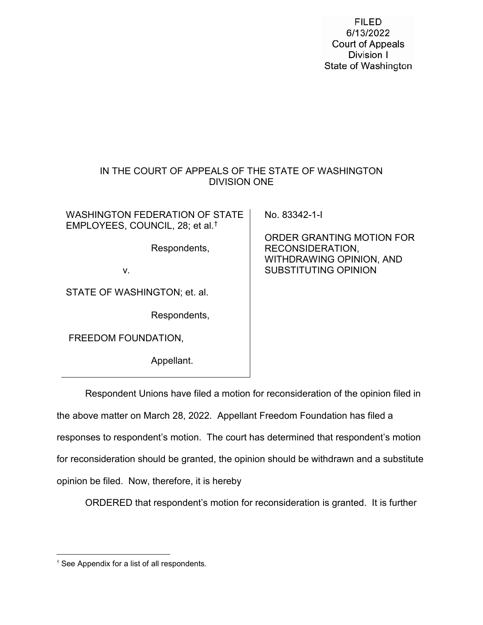**FILED** 6/13/2022 **Court of Appeals** Division I State of Washington

# IN THE COURT OF APPEALS OF THE STATE OF WASHINGTON DIVISION ONE

WASHINGTON FEDERATION OF STATE EMPLOYEES, COUNCIL, 28; et al.[†](#page-0-0) Respondents, v. STATE OF WASHINGTON; et. al. Respondents, FREEDOM FOUNDATION, Appellant. No. 83342-1-I ORDER GRANTING MOTION FOR RECONSIDERATION, WITHDRAWING OPINION, AND SUBSTITUTING OPINION

Respondent Unions have filed a motion for reconsideration of the opinion filed in the above matter on March 28, 2022. Appellant Freedom Foundation has filed a responses to respondent's motion. The court has determined that respondent's motion for reconsideration should be granted, the opinion should be withdrawn and a substitute opinion be filed. Now, therefore, it is hereby

ORDERED that respondent's motion for reconsideration is granted. It is further

<span id="page-0-0"></span> <sup>†</sup> See Appendix for a list of all respondents.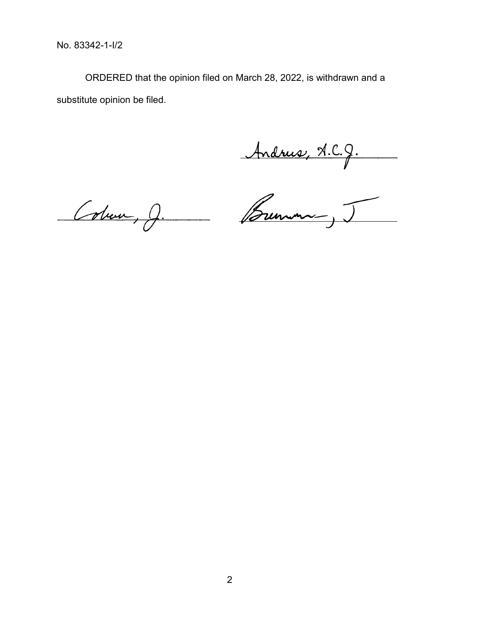No. 83342-1-I/2

ORDERED that the opinion filed on March 28, 2022, is withdrawn and a substitute opinion be filed.

Andrew, A.C.J.<br>Colum, J. Brenne, J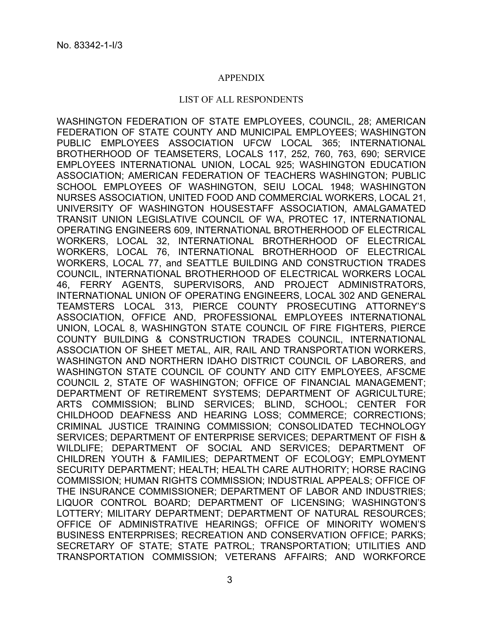### APPENDIX

### LIST OF ALL RESPONDENTS

WASHINGTON FEDERATION OF STATE EMPLOYEES, COUNCIL, 28; AMERICAN FEDERATION OF STATE COUNTY AND MUNICIPAL EMPLOYEES; WASHINGTON PUBLIC EMPLOYEES ASSOCIATION UFCW LOCAL 365; INTERNATIONAL BROTHERHOOD OF TEAMSETERS, LOCALS 117, 252, 760, 763, 690; SERVICE EMPLOYEES INTERNATIONAL UNION, LOCAL 925; WASHINGTON EDUCATION ASSOCIATION; AMERICAN FEDERATION OF TEACHERS WASHINGTON; PUBLIC SCHOOL EMPLOYEES OF WASHINGTON, SEIU LOCAL 1948; WASHINGTON NURSES ASSOCIATION, UNITED FOOD AND COMMERCIAL WORKERS, LOCAL 21, UNIVERSITY OF WASHINGTON HOUSESTAFF ASSOCIATION, AMALGAMATED TRANSIT UNION LEGISLATIVE COUNCIL OF WA, PROTEC 17, INTERNATIONAL OPERATING ENGINEERS 609, INTERNATIONAL BROTHERHOOD OF ELECTRICAL WORKERS, LOCAL 32, INTERNATIONAL BROTHERHOOD OF ELECTRICAL WORKERS, LOCAL 76, INTERNATIONAL BROTHERHOOD OF ELECTRICAL WORKERS, LOCAL 77, and SEATTLE BUILDING AND CONSTRUCTION TRADES COUNCIL, INTERNATIONAL BROTHERHOOD OF ELECTRICAL WORKERS LOCAL 46, FERRY AGENTS, SUPERVISORS, AND PROJECT ADMINISTRATORS, INTERNATIONAL UNION OF OPERATING ENGINEERS, LOCAL 302 AND GENERAL TEAMSTERS LOCAL 313, PIERCE COUNTY PROSECUTING ATTORNEY'S ASSOCIATION, OFFICE AND, PROFESSIONAL EMPLOYEES INTERNATIONAL UNION, LOCAL 8, WASHINGTON STATE COUNCIL OF FIRE FIGHTERS, PIERCE COUNTY BUILDING & CONSTRUCTION TRADES COUNCIL, INTERNATIONAL ASSOCIATION OF SHEET METAL, AIR, RAIL AND TRANSPORTATION WORKERS, WASHINGTON AND NORTHERN IDAHO DISTRICT COUNCIL OF LABORERS, and WASHINGTON STATE COUNCIL OF COUNTY AND CITY EMPLOYEES, AFSCME COUNCIL 2, STATE OF WASHINGTON; OFFICE OF FINANCIAL MANAGEMENT; DEPARTMENT OF RETIREMENT SYSTEMS; DEPARTMENT OF AGRICULTURE; ARTS COMMISSION; BLIND SERVICES; BLIND, SCHOOL; CENTER FOR CHILDHOOD DEAFNESS AND HEARING LOSS; COMMERCE; CORRECTIONS; CRIMINAL JUSTICE TRAINING COMMISSION; CONSOLIDATED TECHNOLOGY SERVICES; DEPARTMENT OF ENTERPRISE SERVICES; DEPARTMENT OF FISH & WILDLIFE; DEPARTMENT OF SOCIAL AND SERVICES; DEPARTMENT OF CHILDREN YOUTH & FAMILIES; DEPARTMENT OF ECOLOGY; EMPLOYMENT SECURITY DEPARTMENT; HEALTH; HEALTH CARE AUTHORITY; HORSE RACING COMMISSION; HUMAN RIGHTS COMMISSION; INDUSTRIAL APPEALS; OFFICE OF THE INSURANCE COMMISSIONER; DEPARTMENT OF LABOR AND INDUSTRIES; LIQUOR CONTROL BOARD; DEPARTMENT OF LICENSING; WASHINGTON'S LOTTERY; MILITARY DEPARTMENT; DEPARTMENT OF NATURAL RESOURCES; OFFICE OF ADMINISTRATIVE HEARINGS; OFFICE OF MINORITY WOMEN'S BUSINESS ENTERPRISES; RECREATION AND CONSERVATION OFFICE; PARKS; SECRETARY OF STATE; STATE PATROL; TRANSPORTATION; UTILITIES AND TRANSPORTATION COMMISSION; VETERANS AFFAIRS; AND WORKFORCE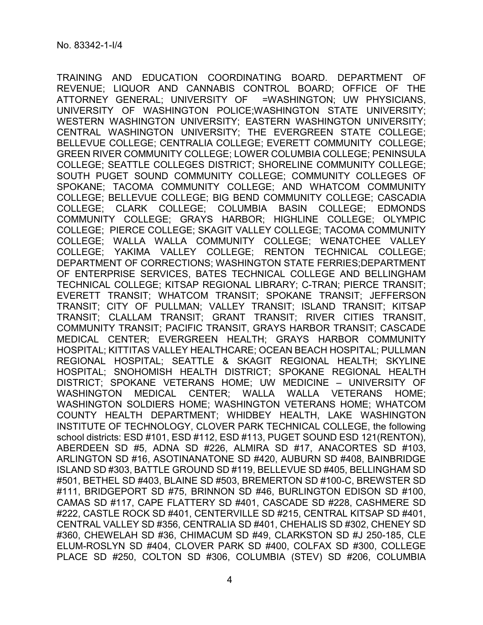TRAINING AND EDUCATION COORDINATING BOARD. DEPARTMENT OF REVENUE; LIQUOR AND CANNABIS CONTROL BOARD; OFFICE OF THE ATTORNEY GENERAL; UNIVERSITY OF =WASHINGTON; UW PHYSICIANS, UNIVERSITY OF WASHINGTON POLICE;WASHINGTON STATE UNIVERSITY; WESTERN WASHINGTON UNIVERSITY; EASTERN WASHINGTON UNIVERSITY; CENTRAL WASHINGTON UNIVERSITY; THE EVERGREEN STATE COLLEGE; BELLEVUE COLLEGE; CENTRALIA COLLEGE; EVERETT COMMUNITY COLLEGE; GREEN RIVER COMMUNITY COLLEGE; LOWER COLUMBIA COLLEGE; PENINSULA COLLEGE; SEATTLE COLLEGES DISTRICT; SHORELINE COMMUNITY COLLEGE; SOUTH PUGET SOUND COMMUNITY COLLEGE; COMMUNITY COLLEGES OF SPOKANE; TACOMA COMMUNITY COLLEGE; AND WHATCOM COMMUNITY COLLEGE; BELLEVUE COLLEGE; BIG BEND COMMUNITY COLLEGE; CASCADIA COLLEGE; CLARK COLLEGE; COLUMBIA BASIN COLLEGE; EDMONDS COMMUNITY COLLEGE; GRAYS HARBOR; HIGHLINE COLLEGE; OLYMPIC COLLEGE; PIERCE COLLEGE; SKAGIT VALLEY COLLEGE; TACOMA COMMUNITY COLLEGE; WALLA WALLA COMMUNITY COLLEGE; WENATCHEE VALLEY COLLEGE; YAKIMA VALLEY COLLEGE; RENTON TECHNICAL COLLEGE; DEPARTMENT OF CORRECTIONS; WASHINGTON STATE FERRIES;DEPARTMENT OF ENTERPRISE SERVICES, BATES TECHNICAL COLLEGE AND BELLINGHAM TECHNICAL COLLEGE; KITSAP REGIONAL LIBRARY; C-TRAN; PIERCE TRANSIT; EVERETT TRANSIT; WHATCOM TRANSIT; SPOKANE TRANSIT; JEFFERSON TRANSIT; CITY OF PULLMAN; VALLEY TRANSIT; ISLAND TRANSIT; KITSAP TRANSIT; CLALLAM TRANSIT; GRANT TRANSIT; RIVER CITIES TRANSIT, COMMUNITY TRANSIT; PACIFIC TRANSIT, GRAYS HARBOR TRANSIT; CASCADE MEDICAL CENTER; EVERGREEN HEALTH; GRAYS HARBOR COMMUNITY HOSPITAL; KITTITAS VALLEY HEALTHCARE; OCEAN BEACH HOSPITAL; PULLMAN REGIONAL HOSPITAL; SEATTLE & SKAGIT REGIONAL HEALTH; SKYLINE HOSPITAL; SNOHOMISH HEALTH DISTRICT; SPOKANE REGIONAL HEALTH DISTRICT; SPOKANE VETERANS HOME; UW MEDICINE – UNIVERSITY OF WASHINGTON MEDICAL CENTER; WALLA WALLA VETERANS HOME; WASHINGTON SOLDIERS HOME; WASHINGTON VETERANS HOME; WHATCOM COUNTY HEALTH DEPARTMENT; WHIDBEY HEALTH, LAKE WASHINGTON INSTITUTE OF TECHNOLOGY, CLOVER PARK TECHNICAL COLLEGE, the following school districts: ESD #101, ESD #112, ESD #113, PUGET SOUND ESD 121(RENTON), ABERDEEN SD #5, ADNA SD #226, ALMIRA SD #17, ANACORTES SD #103, ARLINGTON SD #16, ASOTINANATONE SD #420, AUBURN SD #408, BAINBRIDGE ISLAND SD #303, BATTLE GROUND SD #119, BELLEVUE SD #405, BELLINGHAM SD #501, BETHEL SD #403, BLAINE SD #503, BREMERTON SD #100-C, BREWSTER SD #111, BRIDGEPORT SD #75, BRINNON SD #46, BURLINGTON EDISON SD #100, CAMAS SD #117, CAPE FLATTERY SD #401, CASCADE SD #228, CASHMERE SD #222, CASTLE ROCK SD #401, CENTERVILLE SD #215, CENTRAL KITSAP SD #401, CENTRAL VALLEY SD #356, CENTRALIA SD #401, CHEHALIS SD #302, CHENEY SD #360, CHEWELAH SD #36, CHIMACUM SD #49, CLARKSTON SD #J 250-185, CLE ELUM-ROSLYN SD #404, CLOVER PARK SD #400, COLFAX SD #300, COLLEGE PLACE SD #250, COLTON SD #306, COLUMBIA (STEV) SD #206, COLUMBIA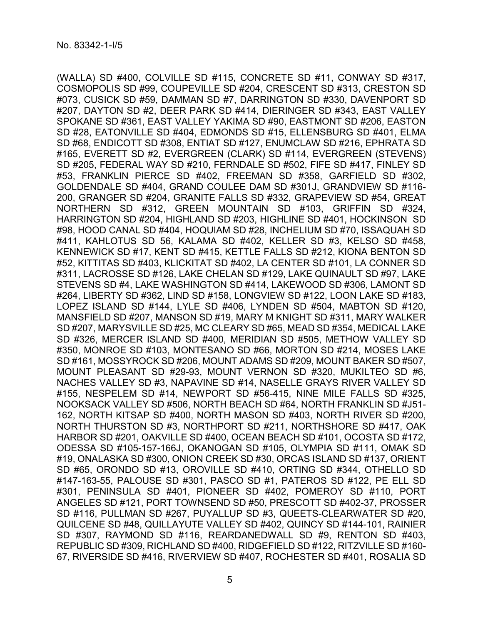(WALLA) SD #400, COLVILLE SD #115, CONCRETE SD #11, CONWAY SD #317, COSMOPOLIS SD #99, COUPEVILLE SD #204, CRESCENT SD #313, CRESTON SD #073, CUSICK SD #59, DAMMAN SD #7, DARRINGTON SD #330, DAVENPORT SD #207, DAYTON SD #2, DEER PARK SD #414, DIERINGER SD #343, EAST VALLEY SPOKANE SD #361, EAST VALLEY YAKIMA SD #90, EASTMONT SD #206, EASTON SD #28, EATONVILLE SD #404, EDMONDS SD #15, ELLENSBURG SD #401, ELMA SD #68, ENDICOTT SD #308, ENTIAT SD #127, ENUMCLAW SD #216, EPHRATA SD #165, EVERETT SD #2, EVERGREEN (CLARK) SD #114, EVERGREEN (STEVENS) SD #205, FEDERAL WAY SD #210, FERNDALE SD #502, FIFE SD #417, FINLEY SD #53, FRANKLIN PIERCE SD #402, FREEMAN SD #358, GARFIELD SD #302, GOLDENDALE SD #404, GRAND COULEE DAM SD #301J, GRANDVIEW SD #116- 200, GRANGER SD #204, GRANITE FALLS SD #332, GRAPEVIEW SD #54, GREAT NORTHERN SD #312, GREEN MOUNTAIN SD #103, GRIFFIN SD #324, HARRINGTON SD #204, HIGHLAND SD #203, HIGHLINE SD #401, HOCKINSON SD #98, HOOD CANAL SD #404, HOQUIAM SD #28, INCHELIUM SD #70, ISSAQUAH SD #411, KAHLOTUS SD 56, KALAMA SD #402, KELLER SD #3, KELSO SD #458, KENNEWICK SD #17, KENT SD #415, KETTLE FALLS SD #212, KIONA BENTON SD #52, KITTITAS SD #403, KLICKITAT SD #402, LA CENTER SD #101, LA CONNER SD #311, LACROSSE SD #126, LAKE CHELAN SD #129, LAKE QUINAULT SD #97, LAKE STEVENS SD #4, LAKE WASHINGTON SD #414, LAKEWOOD SD #306, LAMONT SD #264, LIBERTY SD #362, LIND SD #158, LONGVIEW SD #122, LOON LAKE SD #183, LOPEZ ISLAND SD #144, LYLE SD #406, LYNDEN SD #504, MABTON SD #120, MANSFIELD SD #207, MANSON SD #19, MARY M KNIGHT SD #311, MARY WALKER SD #207, MARYSVILLE SD #25, MC CLEARY SD #65, MEAD SD #354, MEDICAL LAKE SD #326, MERCER ISLAND SD #400, MERIDIAN SD #505, METHOW VALLEY SD #350, MONROE SD #103, MONTESANO SD #66, MORTON SD #214, MOSES LAKE SD #161, MOSSYROCK SD #206, MOUNT ADAMS SD #209, MOUNT BAKER SD #507, MOUNT PLEASANT SD #29-93, MOUNT VERNON SD #320, MUKILTEO SD #6, NACHES VALLEY SD #3, NAPAVINE SD #14, NASELLE GRAYS RIVER VALLEY SD #155, NESPELEM SD #14, NEWPORT SD #56-415, NINE MILE FALLS SD #325, NOOKSACK VALLEY SD #506, NORTH BEACH SD #64, NORTH FRANKLIN SD #J51- 162, NORTH KITSAP SD #400, NORTH MASON SD #403, NORTH RIVER SD #200, NORTH THURSTON SD #3, NORTHPORT SD #211, NORTHSHORE SD #417, OAK HARBOR SD #201, OAKVILLE SD #400, OCEAN BEACH SD #101, OCOSTA SD #172, ODESSA SD #105-157-166J, OKANOGAN SD #105, OLYMPIA SD #111, OMAK SD #19, ONALASKA SD #300, ONION CREEK SD #30, ORCAS ISLAND SD #137, ORIENT SD #65, ORONDO SD #13, OROVILLE SD #410, ORTING SD #344, OTHELLO SD #147-163-55, PALOUSE SD #301, PASCO SD #1, PATEROS SD #122, PE ELL SD #301, PENINSULA SD #401, PIONEER SD #402, POMEROY SD #110, PORT ANGELES SD #121, PORT TOWNSEND SD #50, PRESCOTT SD #402-37, PROSSER SD #116, PULLMAN SD #267, PUYALLUP SD #3, QUEETS-CLEARWATER SD #20, QUILCENE SD #48, QUILLAYUTE VALLEY SD #402, QUINCY SD #144-101, RAINIER SD #307, RAYMOND SD #116, REARDANEDWALL SD #9, RENTON SD #403, REPUBLIC SD #309, RICHLAND SD #400, RIDGEFIELD SD #122, RITZVILLE SD #160- 67, RIVERSIDE SD #416, RIVERVIEW SD #407, ROCHESTER SD #401, ROSALIA SD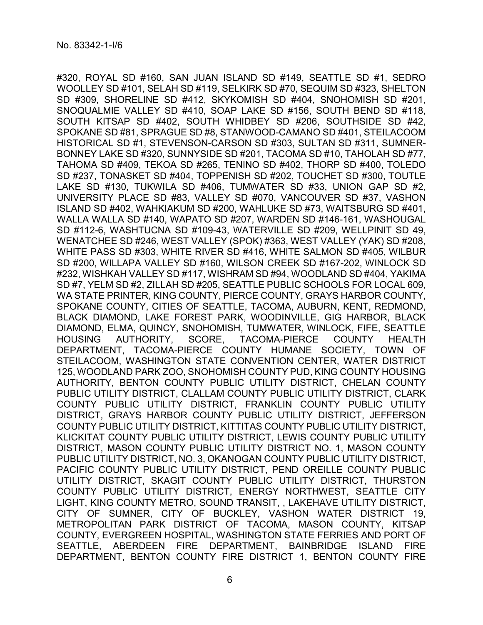#320, ROYAL SD #160, SAN JUAN ISLAND SD #149, SEATTLE SD #1, SEDRO WOOLLEY SD #101, SELAH SD #119, SELKIRK SD #70, SEQUIM SD #323, SHELTON SD #309, SHORELINE SD #412, SKYKOMISH SD #404, SNOHOMISH SD #201, SNOQUALMIE VALLEY SD #410, SOAP LAKE SD #156, SOUTH BEND SD #118, SOUTH KITSAP SD #402, SOUTH WHIDBEY SD #206, SOUTHSIDE SD #42, SPOKANE SD #81, SPRAGUE SD #8, STANWOOD-CAMANO SD #401, STEILACOOM HISTORICAL SD #1, STEVENSON-CARSON SD #303, SULTAN SD #311, SUMNER-BONNEY LAKE SD #320, SUNNYSIDE SD #201, TACOMA SD #10, TAHOLAH SD #77, TAHOMA SD #409, TEKOA SD #265, TENINO SD #402, THORP SD #400, TOLEDO SD #237, TONASKET SD #404, TOPPENISH SD #202, TOUCHET SD #300, TOUTLE LAKE SD #130, TUKWILA SD #406, TUMWATER SD #33, UNION GAP SD #2, UNIVERSITY PLACE SD #83, VALLEY SD #070, VANCOUVER SD #37, VASHON ISLAND SD #402, WAHKIAKUM SD #200, WAHLUKE SD #73, WAITSBURG SD #401, WALLA WALLA SD #140, WAPATO SD #207, WARDEN SD #146-161, WASHOUGAL SD #112-6, WASHTUCNA SD #109-43, WATERVILLE SD #209, WELLPINIT SD 49, WENATCHEE SD #246, WEST VALLEY (SPOK) #363, WEST VALLEY (YAK) SD #208, WHITE PASS SD #303, WHITE RIVER SD #416, WHITE SALMON SD #405, WILBUR SD #200, WILLAPA VALLEY SD #160, WILSON CREEK SD #167-202, WINLOCK SD #232, WISHKAH VALLEY SD #117, WISHRAM SD #94, WOODLAND SD #404, YAKIMA SD #7, YELM SD #2, ZILLAH SD #205, SEATTLE PUBLIC SCHOOLS FOR LOCAL 609, WA STATE PRINTER, KING COUNTY, PIERCE COUNTY, GRAYS HARBOR COUNTY, SPOKANE COUNTY, CITIES OF SEATTLE, TACOMA, AUBURN, KENT, REDMOND, BLACK DIAMOND, LAKE FOREST PARK, WOODINVILLE, GIG HARBOR, BLACK DIAMOND, ELMA, QUINCY, SNOHOMISH, TUMWATER, WINLOCK, FIFE, SEATTLE HOUSING AUTHORITY, SCORE, TACOMA-PIERCE COUNTY HEALTH DEPARTMENT, TACOMA-PIERCE COUNTY HUMANE SOCIETY, TOWN OF STEILACOOM, WASHINGTON STATE CONVENTION CENTER, WATER DISTRICT 125, WOODLAND PARK ZOO, SNOHOMISH COUNTY PUD, KING COUNTY HOUSING AUTHORITY, BENTON COUNTY PUBLIC UTILITY DISTRICT, CHELAN COUNTY PUBLIC UTILITY DISTRICT, CLALLAM COUNTY PUBLIC UTILITY DISTRICT, CLARK COUNTY PUBLIC UTILITY DISTRICT, FRANKLIN COUNTY PUBLIC UTILITY DISTRICT, GRAYS HARBOR COUNTY PUBLIC UTILITY DISTRICT, JEFFERSON COUNTY PUBLIC UTILITY DISTRICT, KITTITAS COUNTY PUBLIC UTILITY DISTRICT, KLICKITAT COUNTY PUBLIC UTILITY DISTRICT, LEWIS COUNTY PUBLIC UTILITY DISTRICT, MASON COUNTY PUBLIC UTILITY DISTRICT NO. 1, MASON COUNTY PUBLIC UTILITY DISTRICT, NO. 3, OKANOGAN COUNTY PUBLIC UTILITY DISTRICT, PACIFIC COUNTY PUBLIC UTILITY DISTRICT, PEND OREILLE COUNTY PUBLIC UTILITY DISTRICT, SKAGIT COUNTY PUBLIC UTILITY DISTRICT, THURSTON COUNTY PUBLIC UTILITY DISTRICT, ENERGY NORTHWEST, SEATTLE CITY LIGHT, KING COUNTY METRO, SOUND TRANSIT, , LAKEHAVE UTILITY DISTRICT, CITY OF SUMNER, CITY OF BUCKLEY, VASHON WATER DISTRICT 19, METROPOLITAN PARK DISTRICT OF TACOMA, MASON COUNTY, KITSAP COUNTY, EVERGREEN HOSPITAL, WASHINGTON STATE FERRIES AND PORT OF SEATTLE, ABERDEEN FIRE DEPARTMENT, BAINBRIDGE ISLAND FIRE DEPARTMENT, BENTON COUNTY FIRE DISTRICT 1, BENTON COUNTY FIRE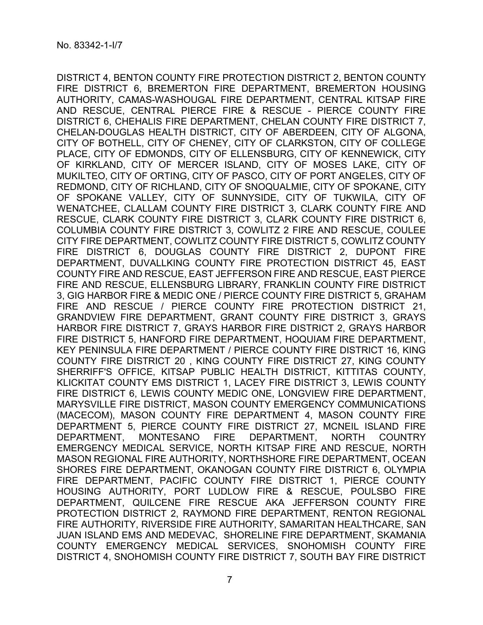DISTRICT 4, BENTON COUNTY FIRE PROTECTION DISTRICT 2, BENTON COUNTY FIRE DISTRICT 6, BREMERTON FIRE DEPARTMENT, BREMERTON HOUSING AUTHORITY, CAMAS-WASHOUGAL FIRE DEPARTMENT, CENTRAL KITSAP FIRE AND RESCUE, CENTRAL PIERCE FIRE & RESCUE - PIERCE COUNTY FIRE DISTRICT 6, CHEHALIS FIRE DEPARTMENT, CHELAN COUNTY FIRE DISTRICT 7, CHELAN-DOUGLAS HEALTH DISTRICT, CITY OF ABERDEEN, CITY OF ALGONA, CITY OF BOTHELL, CITY OF CHENEY, CITY OF CLARKSTON, CITY OF COLLEGE PLACE, CITY OF EDMONDS, CITY OF ELLENSBURG, CITY OF KENNEWICK, CITY OF KIRKLAND, CITY OF MERCER ISLAND, CITY OF MOSES LAKE, CITY OF MUKILTEO, CITY OF ORTING, CITY OF PASCO, CITY OF PORT ANGELES, CITY OF REDMOND, CITY OF RICHLAND, CITY OF SNOQUALMIE, CITY OF SPOKANE, CITY OF SPOKANE VALLEY, CITY OF SUNNYSIDE, CITY OF TUKWILA, CITY OF WENATCHEE, CLALLAM COUNTY FIRE DISTRICT 3, CLARK COUNTY FIRE AND RESCUE, CLARK COUNTY FIRE DISTRICT 3, CLARK COUNTY FIRE DISTRICT 6, COLUMBIA COUNTY FIRE DISTRICT 3, COWLITZ 2 FIRE AND RESCUE, COULEE CITY FIRE DEPARTMENT, COWLITZ COUNTY FIRE DISTRICT 5, COWLITZ COUNTY FIRE DISTRICT 6, DOUGLAS COUNTY FIRE DISTRICT 2, DUPONT FIRE DEPARTMENT, DUVALLKING COUNTY FIRE PROTECTION DISTRICT 45, EAST COUNTY FIRE AND RESCUE, EAST JEFFERSON FIRE AND RESCUE, EAST PIERCE FIRE AND RESCUE, ELLENSBURG LIBRARY, FRANKLIN COUNTY FIRE DISTRICT 3, GIG HARBOR FIRE & MEDIC ONE / PIERCE COUNTY FIRE DISTRICT 5, GRAHAM FIRE AND RESCUE / PIERCE COUNTY FIRE PROTECTION DISTRICT 21, GRANDVIEW FIRE DEPARTMENT, GRANT COUNTY FIRE DISTRICT 3, GRAYS HARBOR FIRE DISTRICT 7, GRAYS HARBOR FIRE DISTRICT 2, GRAYS HARBOR FIRE DISTRICT 5, HANFORD FIRE DEPARTMENT, HOQUIAM FIRE DEPARTMENT, KEY PENINSULA FIRE DEPARTMENT / PIERCE COUNTY FIRE DISTRICT 16, KING COUNTY FIRE DISTRICT 20 , KING COUNTY FIRE DISTRICT 27, KING COUNTY SHERRIFF'S OFFICE, KITSAP PUBLIC HEALTH DISTRICT, KITTITAS COUNTY, KLICKITAT COUNTY EMS DISTRICT 1, LACEY FIRE DISTRICT 3, LEWIS COUNTY FIRE DISTRICT 6, LEWIS COUNTY MEDIC ONE, LONGVIEW FIRE DEPARTMENT, MARYSVILLE FIRE DISTRICT, MASON COUNTY EMERGENCY COMMUNICATIONS (MACECOM), MASON COUNTY FIRE DEPARTMENT 4, MASON COUNTY FIRE DEPARTMENT 5, PIERCE COUNTY FIRE DISTRICT 27, MCNEIL ISLAND FIRE DEPARTMENT, MONTESANO FIRE DEPARTMENT, NORTH COUNTRY EMERGENCY MEDICAL SERVICE, NORTH KITSAP FIRE AND RESCUE, NORTH MASON REGIONAL FIRE AUTHORITY, NORTHSHORE FIRE DEPARTMENT, OCEAN SHORES FIRE DEPARTMENT, OKANOGAN COUNTY FIRE DISTRICT 6, OLYMPIA FIRE DEPARTMENT, PACIFIC COUNTY FIRE DISTRICT 1, PIERCE COUNTY HOUSING AUTHORITY, PORT LUDLOW FIRE & RESCUE, POULSBO FIRE DEPARTMENT, QUILCENE FIRE RESCUE AKA JEFFERSON COUNTY FIRE PROTECTION DISTRICT 2, RAYMOND FIRE DEPARTMENT, RENTON REGIONAL FIRE AUTHORITY, RIVERSIDE FIRE AUTHORITY, SAMARITAN HEALTHCARE, SAN JUAN ISLAND EMS AND MEDEVAC, SHORELINE FIRE DEPARTMENT, SKAMANIA COUNTY EMERGENCY MEDICAL SERVICES, SNOHOMISH COUNTY FIRE DISTRICT 4, SNOHOMISH COUNTY FIRE DISTRICT 7, SOUTH BAY FIRE DISTRICT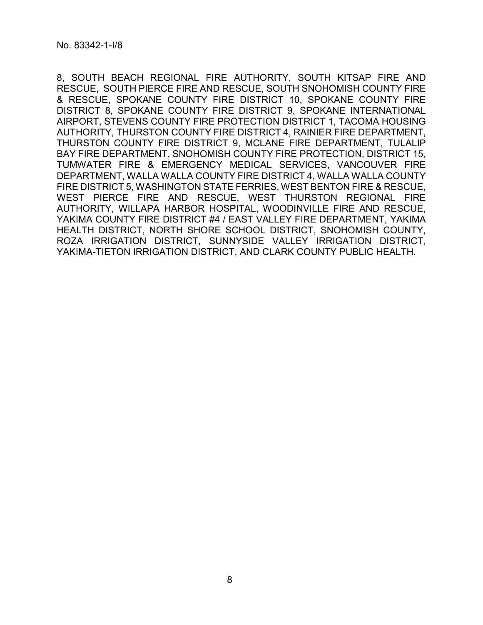8, SOUTH BEACH REGIONAL FIRE AUTHORITY, SOUTH KITSAP FIRE AND RESCUE, SOUTH PIERCE FIRE AND RESCUE, SOUTH SNOHOMISH COUNTY FIRE & RESCUE, SPOKANE COUNTY FIRE DISTRICT 10, SPOKANE COUNTY FIRE DISTRICT 8, SPOKANE COUNTY FIRE DISTRICT 9, SPOKANE INTERNATIONAL AIRPORT, STEVENS COUNTY FIRE PROTECTION DISTRICT 1, TACOMA HOUSING AUTHORITY, THURSTON COUNTY FIRE DISTRICT 4, RAINIER FIRE DEPARTMENT, THURSTON COUNTY FIRE DISTRICT 9, MCLANE FIRE DEPARTMENT, TULALIP BAY FIRE DEPARTMENT, SNOHOMISH COUNTY FIRE PROTECTION, DISTRICT 15, TUMWATER FIRE & EMERGENCY MEDICAL SERVICES, VANCOUVER FIRE DEPARTMENT, WALLA WALLA COUNTY FIRE DISTRICT 4, WALLA WALLA COUNTY FIRE DISTRICT 5, WASHINGTON STATE FERRIES, WEST BENTON FIRE & RESCUE, WEST PIERCE FIRE AND RESCUE, WEST THURSTON REGIONAL FIRE AUTHORITY, WILLAPA HARBOR HOSPITAL, WOODINVILLE FIRE AND RESCUE, YAKIMA COUNTY FIRE DISTRICT #4 / EAST VALLEY FIRE DEPARTMENT, YAKIMA HEALTH DISTRICT, NORTH SHORE SCHOOL DISTRICT, SNOHOMISH COUNTY, ROZA IRRIGATION DISTRICT, SUNNYSIDE VALLEY IRRIGATION DISTRICT, YAKIMA-TIETON IRRIGATION DISTRICT, AND CLARK COUNTY PUBLIC HEALTH.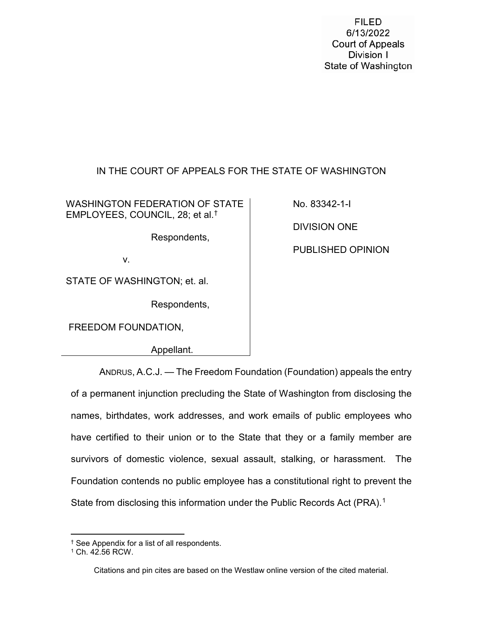**FILED** 6/13/2022 **Court of Appeals** Division I State of Washington

# IN THE COURT OF APPEALS FOR THE STATE OF WASHINGTON

WASHINGTON FEDERATION OF STATE EMPLOYEES, COUNCIL, 28; et al.[†](#page-8-0)

Respondents,

v.

STATE OF WASHINGTON; et. al.

Respondents,

FREEDOM FOUNDATION,

Appellant.

No. 83342-1-I

DIVISION ONE

PUBLISHED OPINION

ANDRUS, A.C.J. — The Freedom Foundation (Foundation) appeals the entry of a permanent injunction precluding the State of Washington from disclosing the names, birthdates, work addresses, and work emails of public employees who have certified to their union or to the State that they or a family member are survivors of domestic violence, sexual assault, stalking, or harassment. The Foundation contends no public employee has a constitutional right to prevent the State from disclosing this information under the Public Records Act (PRA).<sup>[1](#page-8-1)</sup>

Citations and pin cites are based on the Westlaw online version of the cited material.

<span id="page-8-0"></span> <sup>†</sup> See Appendix for a list of all respondents.

<span id="page-8-1"></span><sup>1</sup> Ch. 42.56 RCW.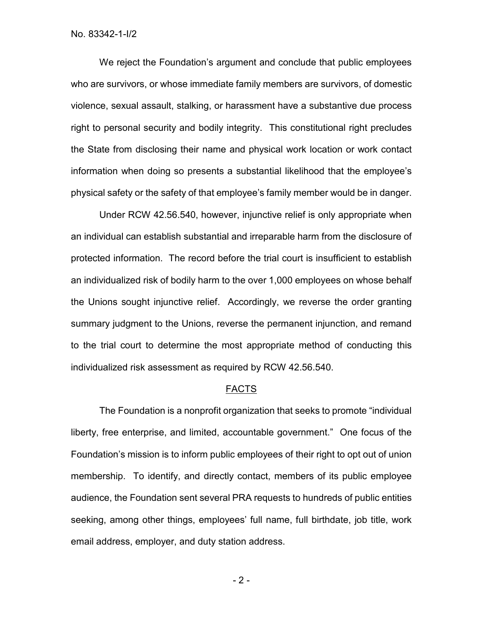We reject the Foundation's argument and conclude that public employees who are survivors, or whose immediate family members are survivors, of domestic violence, sexual assault, stalking, or harassment have a substantive due process right to personal security and bodily integrity. This constitutional right precludes the State from disclosing their name and physical work location or work contact information when doing so presents a substantial likelihood that the employee's physical safety or the safety of that employee's family member would be in danger.

Under RCW 42.56.540, however, injunctive relief is only appropriate when an individual can establish substantial and irreparable harm from the disclosure of protected information. The record before the trial court is insufficient to establish an individualized risk of bodily harm to the over 1,000 employees on whose behalf the Unions sought injunctive relief. Accordingly, we reverse the order granting summary judgment to the Unions, reverse the permanent injunction, and remand to the trial court to determine the most appropriate method of conducting this individualized risk assessment as required by RCW 42.56.540.

#### FACTS

The Foundation is a nonprofit organization that seeks to promote "individual liberty, free enterprise, and limited, accountable government." One focus of the Foundation's mission is to inform public employees of their right to opt out of union membership. To identify, and directly contact, members of its public employee audience, the Foundation sent several PRA requests to hundreds of public entities seeking, among other things, employees' full name, full birthdate, job title, work email address, employer, and duty station address.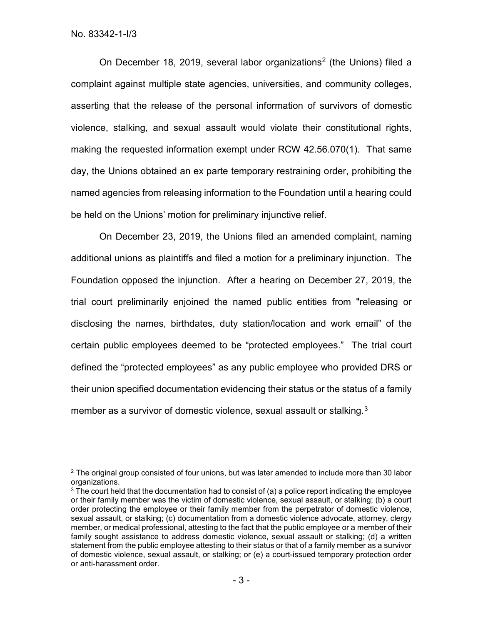On December 18, [2](#page-10-0)019, several labor organizations<sup>2</sup> (the Unions) filed a complaint against multiple state agencies, universities, and community colleges, asserting that the release of the personal information of survivors of domestic violence, stalking, and sexual assault would violate their constitutional rights, making the requested information exempt under RCW 42.56.070(1). That same day, the Unions obtained an ex parte temporary restraining order, prohibiting the named agencies from releasing information to the Foundation until a hearing could be held on the Unions' motion for preliminary injunctive relief.

On December 23, 2019, the Unions filed an amended complaint, naming additional unions as plaintiffs and filed a motion for a preliminary injunction. The Foundation opposed the injunction. After a hearing on December 27, 2019, the trial court preliminarily enjoined the named public entities from "releasing or disclosing the names, birthdates, duty station/location and work email" of the certain public employees deemed to be "protected employees." The trial court defined the "protected employees" as any public employee who provided DRS or their union specified documentation evidencing their status or the status of a family member as a survivor of domestic violence, sexual assault or stalking.<sup>3</sup>

<span id="page-10-0"></span> $2$  The original group consisted of four unions, but was later amended to include more than 30 labor organizations.

<span id="page-10-1"></span> $3$  The court held that the documentation had to consist of (a) a police report indicating the employee or their family member was the victim of domestic violence, sexual assault, or stalking; (b) a court order protecting the employee or their family member from the perpetrator of domestic violence, sexual assault, or stalking; (c) documentation from a domestic violence advocate, attorney, clergy member, or medical professional, attesting to the fact that the public employee or a member of their family sought assistance to address domestic violence, sexual assault or stalking; (d) a written statement from the public employee attesting to their status or that of a family member as a survivor of domestic violence, sexual assault, or stalking; or (e) a court-issued temporary protection order or anti-harassment order.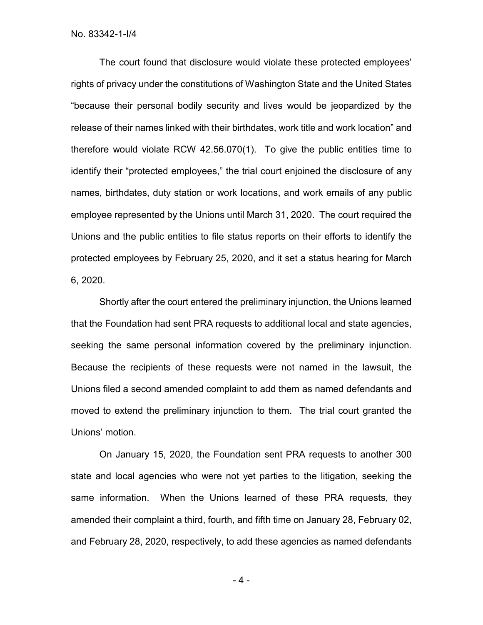The court found that disclosure would violate these protected employees' rights of privacy under the constitutions of Washington State and the United States "because their personal bodily security and lives would be jeopardized by the release of their names linked with their birthdates, work title and work location" and therefore would violate RCW 42.56.070(1). To give the public entities time to identify their "protected employees," the trial court enjoined the disclosure of any names, birthdates, duty station or work locations, and work emails of any public employee represented by the Unions until March 31, 2020. The court required the Unions and the public entities to file status reports on their efforts to identify the protected employees by February 25, 2020, and it set a status hearing for March 6, 2020.

Shortly after the court entered the preliminary injunction, the Unions learned that the Foundation had sent PRA requests to additional local and state agencies, seeking the same personal information covered by the preliminary injunction. Because the recipients of these requests were not named in the lawsuit, the Unions filed a second amended complaint to add them as named defendants and moved to extend the preliminary injunction to them. The trial court granted the Unions' motion.

On January 15, 2020, the Foundation sent PRA requests to another 300 state and local agencies who were not yet parties to the litigation, seeking the same information. When the Unions learned of these PRA requests, they amended their complaint a third, fourth, and fifth time on January 28, February 02, and February 28, 2020, respectively, to add these agencies as named defendants

- 4 -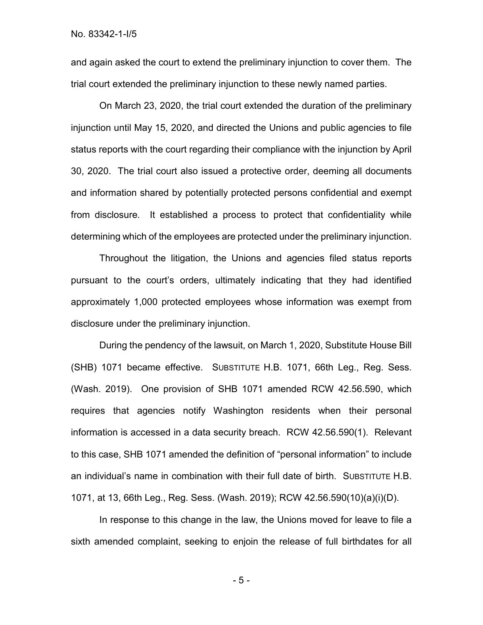No. 83342-1-I/5

and again asked the court to extend the preliminary injunction to cover them. The trial court extended the preliminary injunction to these newly named parties.

On March 23, 2020, the trial court extended the duration of the preliminary injunction until May 15, 2020, and directed the Unions and public agencies to file status reports with the court regarding their compliance with the injunction by April 30, 2020. The trial court also issued a protective order, deeming all documents and information shared by potentially protected persons confidential and exempt from disclosure. It established a process to protect that confidentiality while determining which of the employees are protected under the preliminary injunction.

Throughout the litigation, the Unions and agencies filed status reports pursuant to the court's orders, ultimately indicating that they had identified approximately 1,000 protected employees whose information was exempt from disclosure under the preliminary injunction.

During the pendency of the lawsuit, on March 1, 2020, Substitute House Bill (SHB) 1071 became effective. SUBSTITUTE H.B. 1071, 66th Leg., Reg. Sess. (Wash. 2019). One provision of SHB 1071 amended RCW 42.56.590, which requires that agencies notify Washington residents when their personal information is accessed in a data security breach. RCW 42.56.590(1). Relevant to this case, SHB 1071 amended the definition of "personal information" to include an individual's name in combination with their full date of birth. SUBSTITUTE H.B. 1071, at 13, 66th Leg., Reg. Sess. (Wash. 2019); RCW 42.56.590(10)(a)(i)(D).

In response to this change in the law, the Unions moved for leave to file a sixth amended complaint, seeking to enjoin the release of full birthdates for all

- 5 -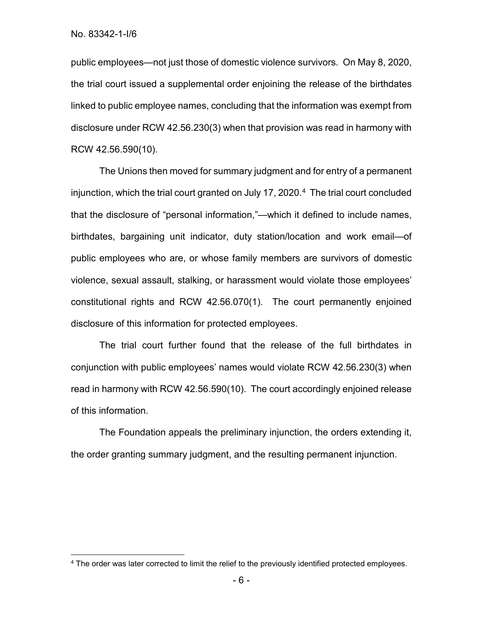public employees—not just those of domestic violence survivors. On May 8, 2020, the trial court issued a supplemental order enjoining the release of the birthdates linked to public employee names, concluding that the information was exempt from disclosure under RCW 42.56.230(3) when that provision was read in harmony with RCW 42.56.590(10).

The Unions then moved for summary judgment and for entry of a permanent injunction, which the trial court granted on July 17, 2020.<sup>4</sup> The trial court concluded that the disclosure of "personal information,"—which it defined to include names, birthdates, bargaining unit indicator, duty station/location and work email—of public employees who are, or whose family members are survivors of domestic violence, sexual assault, stalking, or harassment would violate those employees' constitutional rights and RCW 42.56.070(1). The court permanently enjoined disclosure of this information for protected employees.

The trial court further found that the release of the full birthdates in conjunction with public employees' names would violate RCW 42.56.230(3) when read in harmony with RCW 42.56.590(10). The court accordingly enjoined release of this information.

The Foundation appeals the preliminary injunction, the orders extending it, the order granting summary judgment, and the resulting permanent injunction.

<span id="page-13-0"></span><sup>&</sup>lt;sup>4</sup> The order was later corrected to limit the relief to the previously identified protected employees.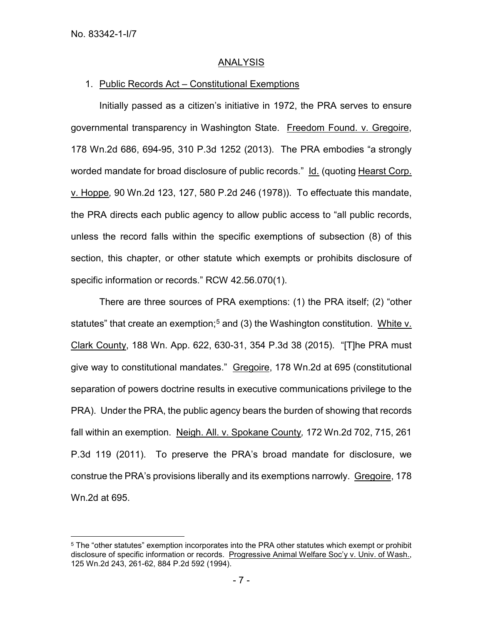### ANALYSIS

### 1. Public Records Act – Constitutional Exemptions

Initially passed as a citizen's initiative in 1972, the PRA serves to ensure governmental transparency in Washington State. Freedom Found. v. Gregoire, 178 Wn.2d 686, 694-95, 310 P.3d 1252 (2013). The PRA embodies "a strongly worded mandate for broad disclosure of public records." Id. (quoting Hearst Corp. v. Hoppe*,* 90 Wn.2d 123, 127, 580 P.2d 246 (1978)). To effectuate this mandate, the PRA directs each public agency to allow public access to "all public records, unless the record falls within the specific exemptions of subsection (8) of this section, this chapter, or other statute which exempts or prohibits disclosure of specific information or records." RCW 42.56.070(1).

There are three sources of PRA exemptions: (1) the PRA itself; (2) "other statutes" that create an exemption;<sup>[5](#page-14-0)</sup> and (3) the Washington constitution. White v. Clark County, 188 Wn. App. 622, 630-31, 354 P.3d 38 (2015). "[T]he PRA must give way to constitutional mandates." Gregoire, 178 Wn.2d at 695 (constitutional separation of powers doctrine results in executive communications privilege to the PRA). Under the PRA, the public agency bears the burden of showing that records fall within an exemption. Neigh. All. v. Spokane County*,* 172 Wn.2d 702, 715, 261 P.3d 119 (2011). To preserve the PRA's broad mandate for disclosure, we construe the PRA's provisions liberally and its exemptions narrowly. Gregoire, 178 Wn.2d at 695.

<span id="page-14-0"></span><sup>&</sup>lt;sup>5</sup> The "other statutes" exemption incorporates into the PRA other statutes which exempt or prohibit disclosure of specific information or records. Progressive Animal Welfare Soc'y v. Univ. of Wash., 125 Wn.2d 243, 261-62, 884 P.2d 592 (1994).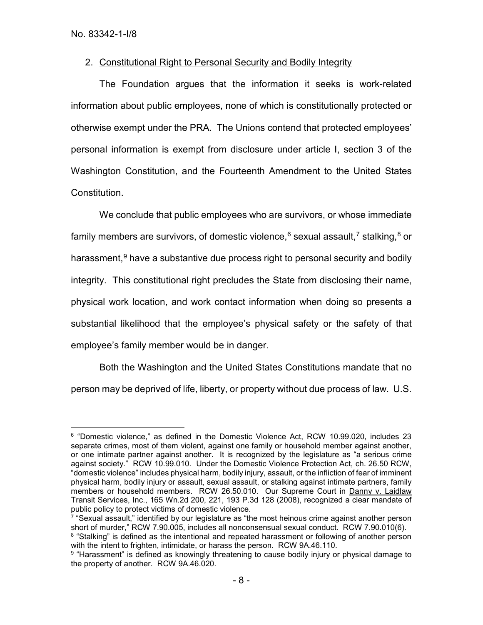# 2. Constitutional Right to Personal Security and Bodily Integrity

The Foundation argues that the information it seeks is work-related information about public employees, none of which is constitutionally protected or otherwise exempt under the PRA. The Unions contend that protected employees' personal information is exempt from disclosure under article I, section 3 of the Washington Constitution, and the Fourteenth Amendment to the United States Constitution.

We conclude that public employees who are survivors, or whose immediate family members are survivors, of domestic violence,  $6$  sexual assault,  $7$  stalking,  $8$  or harassment,<sup>[9](#page-15-3)</sup> have a substantive due process right to personal security and bodily integrity. This constitutional right precludes the State from disclosing their name, physical work location, and work contact information when doing so presents a substantial likelihood that the employee's physical safety or the safety of that employee's family member would be in danger.

Both the Washington and the United States Constitutions mandate that no person may be deprived of life, liberty, or property without due process of law. U.S.

<span id="page-15-0"></span> <sup>6</sup> "Domestic violence," as defined in the Domestic Violence Act, RCW 10.99.020, includes 23 separate crimes, most of them violent, against one family or household member against another, or one intimate partner against another. It is recognized by the legislature as "a serious crime against society." RCW 10.99.010. Under the Domestic Violence Protection Act, ch. 26.50 RCW, "domestic violence" includes physical harm, bodily injury, assault, or the infliction of fear of imminent physical harm, bodily injury or assault, sexual assault, or stalking against intimate partners, family members or household members. RCW 26.50.010. Our Supreme Court in Danny v. Laidlaw Transit Services, Inc., 165 Wn.2d 200, 221, 193 P.3d 128 (2008), recognized a clear mandate of public policy to protect victims of domestic violence.

<span id="page-15-1"></span> $7$  "Sexual assault," identified by our legislature as "the most heinous crime against another person short of murder," RCW 7.90.005, includes all nonconsensual sexual conduct. RCW 7.90.010(6).

<span id="page-15-2"></span><sup>&</sup>lt;sup>8</sup> "Stalking" is defined as the intentional and repeated harassment or following of another person with the intent to frighten, intimidate, or harass the person. RCW 9A.46.110.

<span id="page-15-3"></span><sup>&</sup>lt;sup>9</sup> "Harassment" is defined as knowingly threatening to cause bodily injury or physical damage to the property of another. RCW 9A.46.020.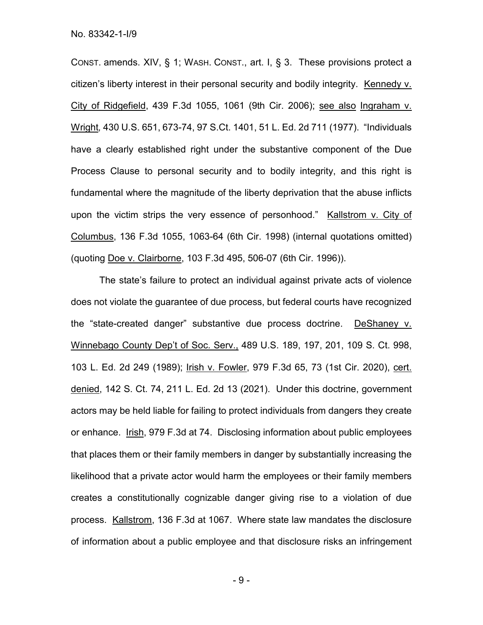CONST. amends. XIV, § 1; WASH. CONST., art. I, § 3. These provisions protect a citizen's liberty interest in their personal security and bodily integrity. Kennedy v. City of Ridgefield, 439 F.3d 1055, 1061 (9th Cir. 2006); see also Ingraham v. Wright*,* 430 U.S. 651, 673-74, 97 S.Ct. 1401, 51 L. Ed. 2d 711 (1977). "Individuals have a clearly established right under the substantive component of the Due Process Clause to personal security and to bodily integrity, and this right is fundamental where the magnitude of the liberty deprivation that the abuse inflicts upon the victim strips the very essence of personhood." Kallstrom v. City of Columbus, 136 F.3d 1055, 1063-64 (6th Cir. 1998) (internal quotations omitted) (quoting Doe v. Clairborne, 103 F.3d 495, 506-07 (6th Cir. 1996)).

The state's failure to protect an individual against private acts of violence does not violate the guarantee of due process, but federal courts have recognized the "state-created danger" substantive due process doctrine. DeShaney v. Winnebago County Dep't of Soc. Serv., 489 U.S. 189, 197, 201, 109 S. Ct. 998, 103 L. Ed. 2d 249 (1989); Irish v. Fowler, 979 F.3d 65, 73 (1st Cir. 2020), cert. denied, 142 S. Ct. 74, 211 L. Ed. 2d 13 (2021). Under this doctrine, government actors may be held liable for failing to protect individuals from dangers they create or enhance. Irish, 979 F.3d at 74. Disclosing information about public employees that places them or their family members in danger by substantially increasing the likelihood that a private actor would harm the employees or their family members creates a constitutionally cognizable danger giving rise to a violation of due process. Kallstrom, 136 F.3d at 1067. Where state law mandates the disclosure of information about a public employee and that disclosure risks an infringement

- 9 -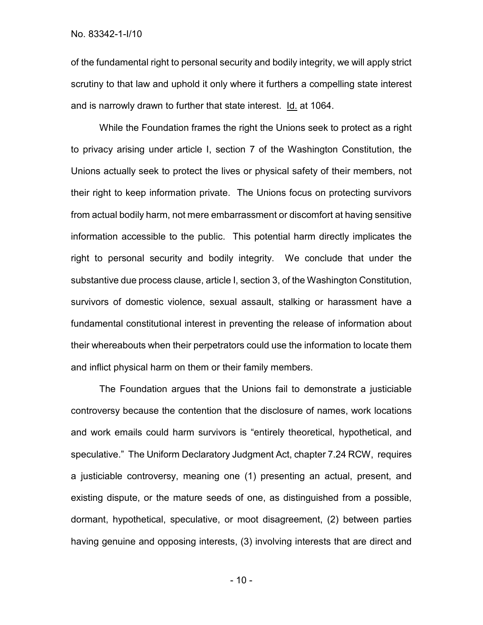No. 83342-1-I/10

of the fundamental right to personal security and bodily integrity, we will apply strict scrutiny to that law and uphold it only where it furthers a compelling state interest and is narrowly drawn to further that state interest. Id. at 1064.

While the Foundation frames the right the Unions seek to protect as a right to privacy arising under article I, section 7 of the Washington Constitution, the Unions actually seek to protect the lives or physical safety of their members, not their right to keep information private. The Unions focus on protecting survivors from actual bodily harm, not mere embarrassment or discomfort at having sensitive information accessible to the public. This potential harm directly implicates the right to personal security and bodily integrity. We conclude that under the substantive due process clause, article I, section 3, of the Washington Constitution, survivors of domestic violence, sexual assault, stalking or harassment have a fundamental constitutional interest in preventing the release of information about their whereabouts when their perpetrators could use the information to locate them and inflict physical harm on them or their family members.

The Foundation argues that the Unions fail to demonstrate a justiciable controversy because the contention that the disclosure of names, work locations and work emails could harm survivors is "entirely theoretical, hypothetical, and speculative." The Uniform Declaratory Judgment Act, chapter 7.24 RCW, requires a justiciable controversy, meaning one (1) presenting an actual, present, and existing dispute, or the mature seeds of one, as distinguished from a possible, dormant, hypothetical, speculative, or moot disagreement, (2) between parties having genuine and opposing interests, (3) involving interests that are direct and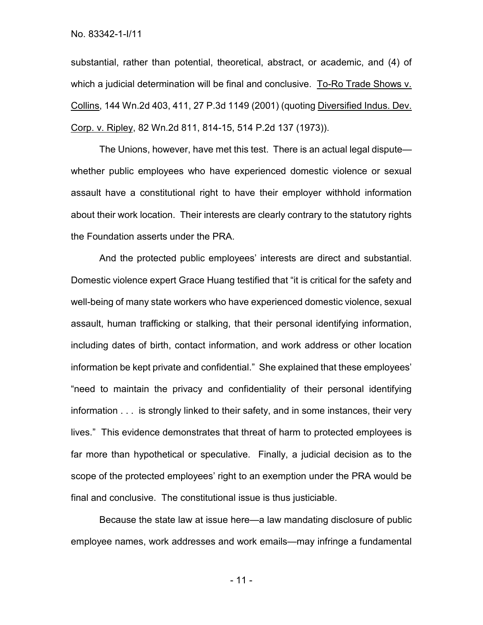No. 83342-1-I/11

substantial, rather than potential, theoretical, abstract, or academic, and (4) of which a judicial determination will be final and conclusive. To-Ro Trade Shows v. Collins, 144 Wn.2d 403, 411, 27 P.3d 1149 (2001) (quoting Diversified Indus. Dev. Corp. v. Ripley, 82 Wn.2d 811, 814-15, 514 P.2d 137 (1973)).

The Unions, however, have met this test. There is an actual legal dispute whether public employees who have experienced domestic violence or sexual assault have a constitutional right to have their employer withhold information about their work location. Their interests are clearly contrary to the statutory rights the Foundation asserts under the PRA.

And the protected public employees' interests are direct and substantial. Domestic violence expert Grace Huang testified that "it is critical for the safety and well-being of many state workers who have experienced domestic violence, sexual assault, human trafficking or stalking, that their personal identifying information, including dates of birth, contact information, and work address or other location information be kept private and confidential." She explained that these employees' "need to maintain the privacy and confidentiality of their personal identifying information . . . is strongly linked to their safety, and in some instances, their very lives." This evidence demonstrates that threat of harm to protected employees is far more than hypothetical or speculative. Finally, a judicial decision as to the scope of the protected employees' right to an exemption under the PRA would be final and conclusive. The constitutional issue is thus justiciable.

Because the state law at issue here—a law mandating disclosure of public employee names, work addresses and work emails—may infringe a fundamental

- 11 -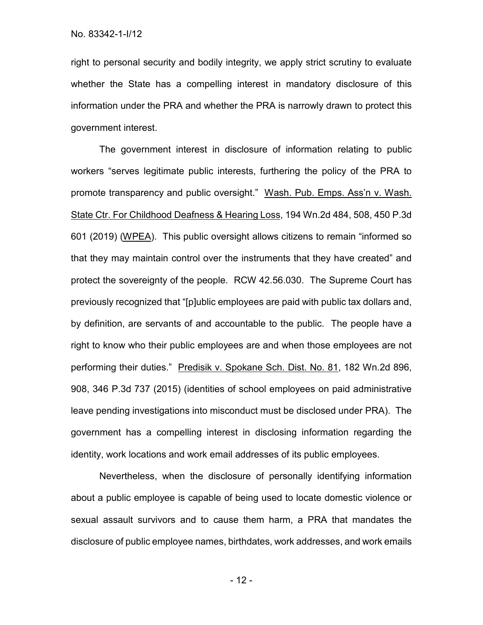right to personal security and bodily integrity, we apply strict scrutiny to evaluate whether the State has a compelling interest in mandatory disclosure of this information under the PRA and whether the PRA is narrowly drawn to protect this government interest.

The government interest in disclosure of information relating to public workers "serves legitimate public interests, furthering the policy of the PRA to promote transparency and public oversight." Wash. Pub. Emps. Ass'n v. Wash. State Ctr. For Childhood Deafness & Hearing Loss, 194 Wn.2d 484, 508, 450 P.3d 601 (2019) (WPEA). This public oversight allows citizens to remain "informed so that they may maintain control over the instruments that they have created" and protect the sovereignty of the people. RCW 42.56.030. The Supreme Court has previously recognized that "[p]ublic employees are paid with public tax dollars and, by definition, are servants of and accountable to the public. The people have a right to know who their public employees are and when those employees are not performing their duties." Predisik v. Spokane Sch. Dist. No. 81, 182 Wn.2d 896, 908, 346 P.3d 737 (2015) (identities of school employees on paid administrative leave pending investigations into misconduct must be disclosed under PRA). The government has a compelling interest in disclosing information regarding the identity, work locations and work email addresses of its public employees.

Nevertheless, when the disclosure of personally identifying information about a public employee is capable of being used to locate domestic violence or sexual assault survivors and to cause them harm, a PRA that mandates the disclosure of public employee names, birthdates, work addresses, and work emails

- 12 -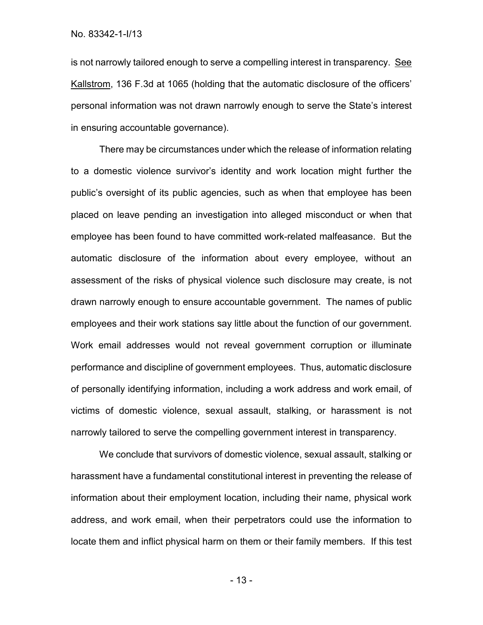No. 83342-1-I/13

is not narrowly tailored enough to serve a compelling interest in transparency. See Kallstrom, 136 F.3d at 1065 (holding that the automatic disclosure of the officers' personal information was not drawn narrowly enough to serve the State's interest in ensuring accountable governance).

There may be circumstances under which the release of information relating to a domestic violence survivor's identity and work location might further the public's oversight of its public agencies, such as when that employee has been placed on leave pending an investigation into alleged misconduct or when that employee has been found to have committed work-related malfeasance. But the automatic disclosure of the information about every employee, without an assessment of the risks of physical violence such disclosure may create, is not drawn narrowly enough to ensure accountable government. The names of public employees and their work stations say little about the function of our government. Work email addresses would not reveal government corruption or illuminate performance and discipline of government employees. Thus, automatic disclosure of personally identifying information, including a work address and work email, of victims of domestic violence, sexual assault, stalking, or harassment is not narrowly tailored to serve the compelling government interest in transparency.

We conclude that survivors of domestic violence, sexual assault, stalking or harassment have a fundamental constitutional interest in preventing the release of information about their employment location, including their name, physical work address, and work email, when their perpetrators could use the information to locate them and inflict physical harm on them or their family members. If this test

- 13 -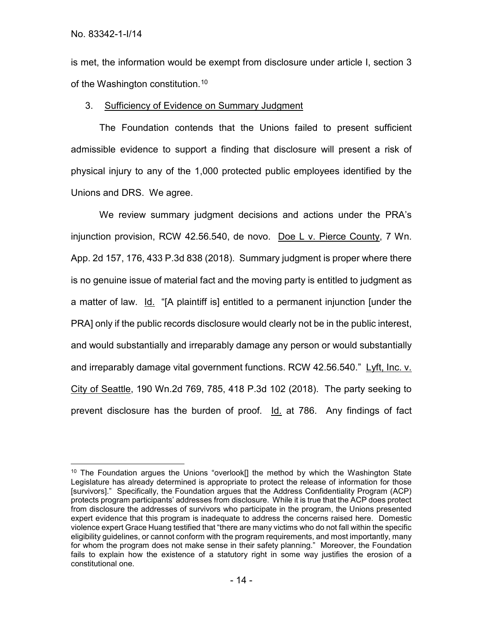is met, the information would be exempt from disclosure under article I, section 3 of the Washington constitution.<sup>[10](#page-21-0)</sup>

# 3. Sufficiency of Evidence on Summary Judgment

The Foundation contends that the Unions failed to present sufficient admissible evidence to support a finding that disclosure will present a risk of physical injury to any of the 1,000 protected public employees identified by the Unions and DRS. We agree.

We review summary judgment decisions and actions under the PRA's injunction provision, RCW 42.56.540, de novo. Doe L v. Pierce County, 7 Wn. App. 2d 157, 176, 433 P.3d 838 (2018). Summary judgment is proper where there is no genuine issue of material fact and the moving party is entitled to judgment as a matter of law. Id. "[A plaintiff is] entitled to a permanent injunction [under the PRA] only if the public records disclosure would clearly not be in the public interest, and would substantially and irreparably damage any person or would substantially and irreparably damage vital government functions. RCW 42.56.540." Lyft, Inc. v. City of Seattle, 190 Wn.2d 769, 785, 418 P.3d 102 (2018). The party seeking to prevent disclosure has the burden of proof. Id. at 786. Any findings of fact

<span id="page-21-0"></span><sup>&</sup>lt;sup>10</sup> The Foundation argues the Unions "overlook<sup>[]</sup> the method by which the Washington State Legislature has already determined is appropriate to protect the release of information for those [survivors]." Specifically, the Foundation argues that the Address Confidentiality Program (ACP) protects program participants' addresses from disclosure. While it is true that the ACP does protect from disclosure the addresses of survivors who participate in the program, the Unions presented expert evidence that this program is inadequate to address the concerns raised here. Domestic violence expert Grace Huang testified that "there are many victims who do not fall within the specific eligibility guidelines, or cannot conform with the program requirements, and most importantly, many for whom the program does not make sense in their safety planning." Moreover, the Foundation fails to explain how the existence of a statutory right in some way justifies the erosion of a constitutional one.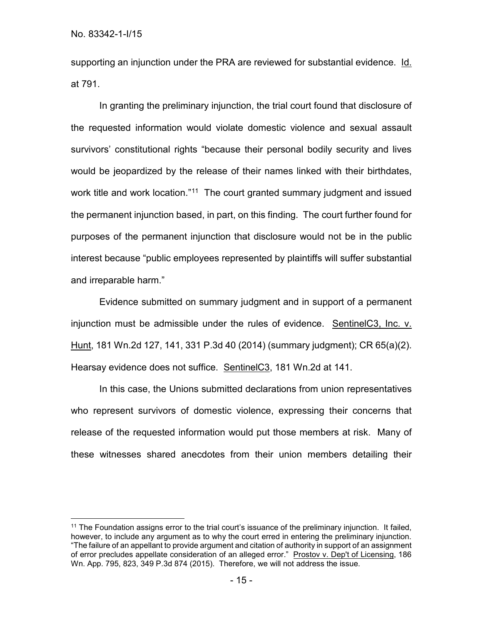No. 83342-1-I/15

supporting an injunction under the PRA are reviewed for substantial evidence. Id. at 791.

In granting the preliminary injunction, the trial court found that disclosure of the requested information would violate domestic violence and sexual assault survivors' constitutional rights "because their personal bodily security and lives would be jeopardized by the release of their names linked with their birthdates, work title and work location."<sup>11</sup> The court granted summary judgment and issued the permanent injunction based, in part, on this finding. The court further found for purposes of the permanent injunction that disclosure would not be in the public interest because "public employees represented by plaintiffs will suffer substantial and irreparable harm."

Evidence submitted on summary judgment and in support of a permanent injunction must be admissible under the rules of evidence. SentinelC3, Inc. v. Hunt, 181 Wn.2d 127, 141, 331 P.3d 40 (2014) (summary judgment); CR 65(a)(2). Hearsay evidence does not suffice. SentinelC3, 181 Wn.2d at 141.

In this case, the Unions submitted declarations from union representatives who represent survivors of domestic violence, expressing their concerns that release of the requested information would put those members at risk. Many of these witnesses shared anecdotes from their union members detailing their

<span id="page-22-0"></span> <sup>11</sup> The Foundation assigns error to the trial court's issuance of the preliminary injunction. It failed, however, to include any argument as to why the court erred in entering the preliminary injunction. "The failure of an appellant to provide argument and citation of authority in support of an assignment of error precludes appellate consideration of an alleged error." Prostov v. Dep't of Licensing, 186 Wn. App. 795, 823, 349 P.3d 874 (2015). Therefore, we will not address the issue.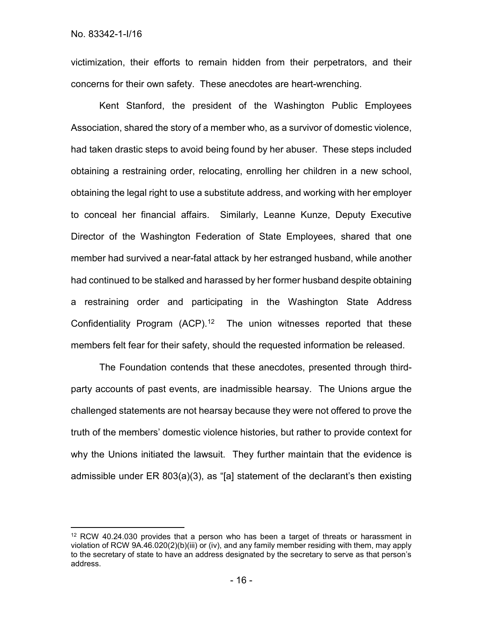victimization, their efforts to remain hidden from their perpetrators, and their concerns for their own safety. These anecdotes are heart-wrenching.

Kent Stanford, the president of the Washington Public Employees Association, shared the story of a member who, as a survivor of domestic violence, had taken drastic steps to avoid being found by her abuser. These steps included obtaining a restraining order, relocating, enrolling her children in a new school, obtaining the legal right to use a substitute address, and working with her employer to conceal her financial affairs. Similarly, Leanne Kunze, Deputy Executive Director of the Washington Federation of State Employees, shared that one member had survived a near-fatal attack by her estranged husband, while another had continued to be stalked and harassed by her former husband despite obtaining a restraining order and participating in the Washington State Address Confidentiality Program (ACP).<sup>[12](#page-23-0)</sup> The union witnesses reported that these members felt fear for their safety, should the requested information be released.

The Foundation contends that these anecdotes, presented through thirdparty accounts of past events, are inadmissible hearsay. The Unions argue the challenged statements are not hearsay because they were not offered to prove the truth of the members' domestic violence histories, but rather to provide context for why the Unions initiated the lawsuit. They further maintain that the evidence is admissible under ER 803(a)(3), as "[a] statement of the declarant's then existing

<span id="page-23-0"></span> $12$  RCW 40.24.030 provides that a person who has been a target of threats or harassment in violation of RCW 9A.46.020(2)(b)(iii) or (iv), and any family member residing with them, may apply to the secretary of state to have an address designated by the secretary to serve as that person's address.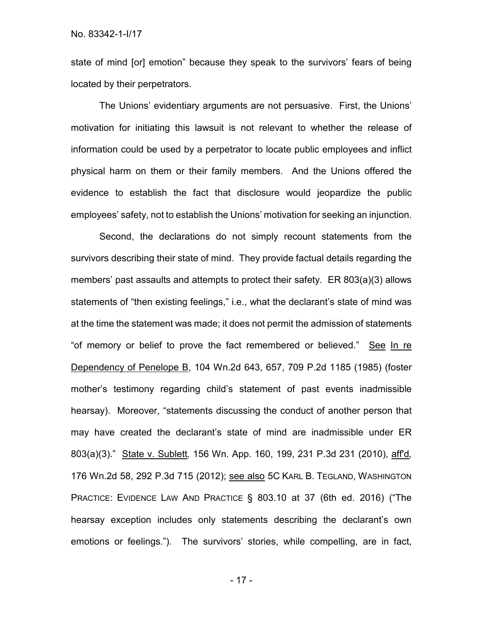state of mind [or] emotion" because they speak to the survivors' fears of being located by their perpetrators.

The Unions' evidentiary arguments are not persuasive. First, the Unions' motivation for initiating this lawsuit is not relevant to whether the release of information could be used by a perpetrator to locate public employees and inflict physical harm on them or their family members. And the Unions offered the evidence to establish the fact that disclosure would jeopardize the public employees' safety, not to establish the Unions' motivation for seeking an injunction.

Second, the declarations do not simply recount statements from the survivors describing their state of mind. They provide factual details regarding the members' past assaults and attempts to protect their safety. ER 803(a)(3) allows statements of "then existing feelings," i.e., what the declarant's state of mind was at the time the statement was made; it does not permit the admission of statements "of memory or belief to prove the fact remembered or believed." See In re Dependency of Penelope B, 104 Wn.2d 643, 657, 709 P.2d 1185 (1985) (foster mother's testimony regarding child's statement of past events inadmissible hearsay). Moreover, "statements discussing the conduct of another person that may have created the declarant's state of mind are inadmissible under ER 803(a)(3)." State v. Sublett*,* 156 Wn. App. 160, 199, 231 P.3d 231 (2010), aff'd*,* 176 Wn.2d 58, 292 P.3d 715 (2012); see also 5C KARL B. TEGLAND, WASHINGTON PRACTICE: EVIDENCE LAW AND PRACTICE § 803.10 at 37 (6th ed. 2016) ("The hearsay exception includes only statements describing the declarant's own emotions or feelings."). The survivors' stories, while compelling, are in fact,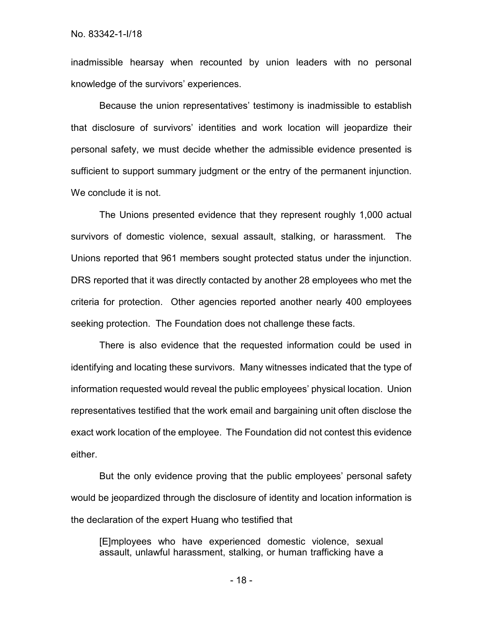No. 83342-1-I/18

inadmissible hearsay when recounted by union leaders with no personal knowledge of the survivors' experiences.

Because the union representatives' testimony is inadmissible to establish that disclosure of survivors' identities and work location will jeopardize their personal safety, we must decide whether the admissible evidence presented is sufficient to support summary judgment or the entry of the permanent injunction. We conclude it is not.

The Unions presented evidence that they represent roughly 1,000 actual survivors of domestic violence, sexual assault, stalking, or harassment. The Unions reported that 961 members sought protected status under the injunction. DRS reported that it was directly contacted by another 28 employees who met the criteria for protection. Other agencies reported another nearly 400 employees seeking protection. The Foundation does not challenge these facts.

There is also evidence that the requested information could be used in identifying and locating these survivors. Many witnesses indicated that the type of information requested would reveal the public employees' physical location. Union representatives testified that the work email and bargaining unit often disclose the exact work location of the employee. The Foundation did not contest this evidence either.

But the only evidence proving that the public employees' personal safety would be jeopardized through the disclosure of identity and location information is the declaration of the expert Huang who testified that

[E]mployees who have experienced domestic violence, sexual assault, unlawful harassment, stalking, or human trafficking have a

- 18 -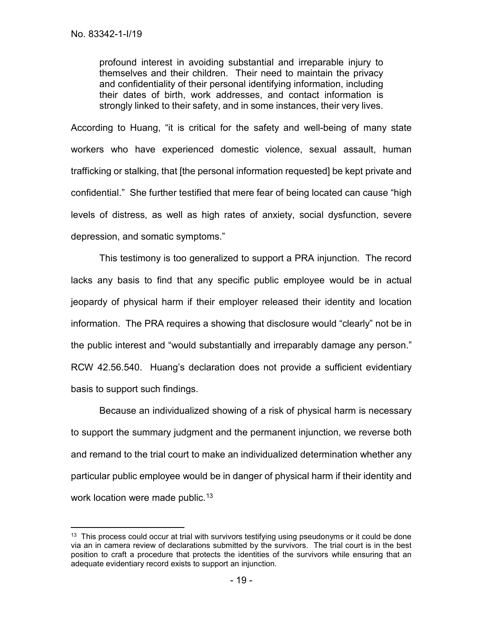profound interest in avoiding substantial and irreparable injury to themselves and their children. Their need to maintain the privacy and confidentiality of their personal identifying information, including their dates of birth, work addresses, and contact information is strongly linked to their safety, and in some instances, their very lives.

According to Huang, "it is critical for the safety and well-being of many state workers who have experienced domestic violence, sexual assault, human trafficking or stalking, that [the personal information requested] be kept private and confidential." She further testified that mere fear of being located can cause "high levels of distress, as well as high rates of anxiety, social dysfunction, severe depression, and somatic symptoms."

This testimony is too generalized to support a PRA injunction. The record lacks any basis to find that any specific public employee would be in actual jeopardy of physical harm if their employer released their identity and location information. The PRA requires a showing that disclosure would "clearly" not be in the public interest and "would substantially and irreparably damage any person." RCW 42.56.540. Huang's declaration does not provide a sufficient evidentiary basis to support such findings.

Because an individualized showing of a risk of physical harm is necessary to support the summary judgment and the permanent injunction, we reverse both and remand to the trial court to make an individualized determination whether any particular public employee would be in danger of physical harm if their identity and work location were made public.<sup>[13](#page-26-0)</sup>

<span id="page-26-0"></span><sup>&</sup>lt;sup>13</sup> This process could occur at trial with survivors testifying using pseudonyms or it could be done via an in camera review of declarations submitted by the survivors. The trial court is in the best position to craft a procedure that protects the identities of the survivors while ensuring that an adequate evidentiary record exists to support an injunction.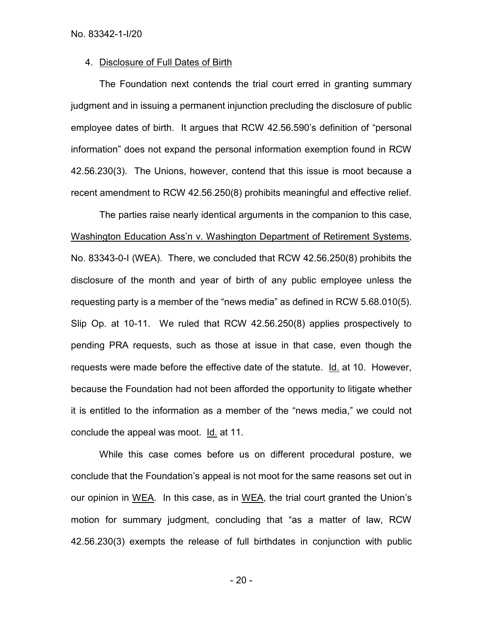### 4. Disclosure of Full Dates of Birth

The Foundation next contends the trial court erred in granting summary judgment and in issuing a permanent injunction precluding the disclosure of public employee dates of birth. It argues that RCW 42.56.590's definition of "personal information" does not expand the personal information exemption found in RCW 42.56.230(3). The Unions, however, contend that this issue is moot because a recent amendment to RCW 42.56.250(8) prohibits meaningful and effective relief.

The parties raise nearly identical arguments in the companion to this case, Washington Education Ass'n v. Washington Department of Retirement Systems, No. 83343-0-I (WEA). There, we concluded that RCW 42.56.250(8) prohibits the disclosure of the month and year of birth of any public employee unless the requesting party is a member of the "news media" as defined in RCW 5.68.010(5). Slip Op. at 10-11. We ruled that RCW 42.56.250(8) applies prospectively to pending PRA requests, such as those at issue in that case, even though the requests were made before the effective date of the statute. Id. at 10. However, because the Foundation had not been afforded the opportunity to litigate whether it is entitled to the information as a member of the "news media," we could not conclude the appeal was moot. Id. at 11.

While this case comes before us on different procedural posture, we conclude that the Foundation's appeal is not moot for the same reasons set out in our opinion in WEA. In this case, as in WEA, the trial court granted the Union's motion for summary judgment, concluding that "as a matter of law, RCW 42.56.230(3) exempts the release of full birthdates in conjunction with public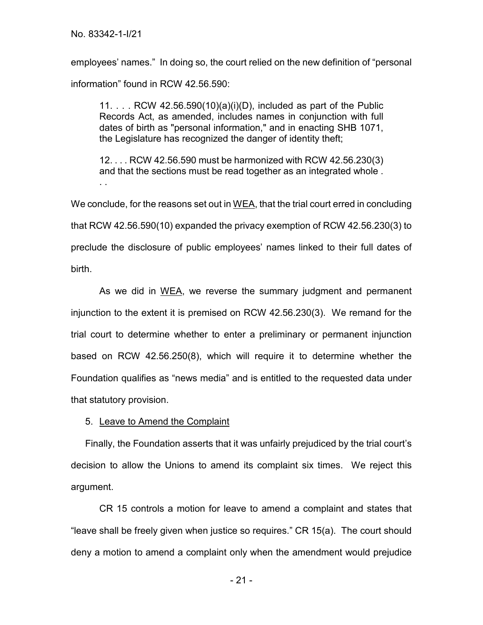employees' names." In doing so, the court relied on the new definition of "personal information" found in RCW 42.56.590:

11.  $\ldots$  RCW 42.56.590(10)(a)(i)(D), included as part of the Public Records Act, as amended, includes names in conjunction with full dates of birth as "personal information," and in enacting SHB 1071, the Legislature has recognized the danger of identity theft;

12. . . . RCW 42.56.590 must be harmonized with RCW 42.56.230(3) and that the sections must be read together as an integrated whole . . .

We conclude, for the reasons set out in  $WEA$ , that the trial court erred in concluding that RCW 42.56.590(10) expanded the privacy exemption of RCW 42.56.230(3) to preclude the disclosure of public employees' names linked to their full dates of birth.

As we did in WEA, we reverse the summary judgment and permanent injunction to the extent it is premised on RCW 42.56.230(3). We remand for the trial court to determine whether to enter a preliminary or permanent injunction based on RCW 42.56.250(8), which will require it to determine whether the Foundation qualifies as "news media" and is entitled to the requested data under that statutory provision.

5. Leave to Amend the Complaint

Finally, the Foundation asserts that it was unfairly prejudiced by the trial court's decision to allow the Unions to amend its complaint six times. We reject this argument.

CR 15 controls a motion for leave to amend a complaint and states that "leave shall be freely given when justice so requires." CR 15(a). The court should deny a motion to amend a complaint only when the amendment would prejudice

- 21 -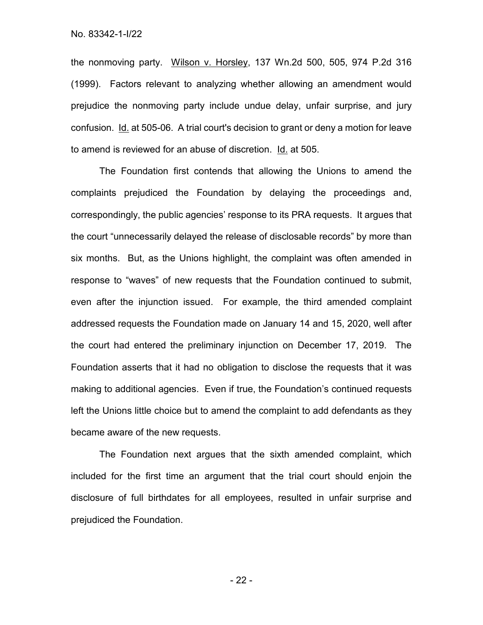the nonmoving party. Wilson v. Horsley, 137 Wn.2d 500, 505, 974 P.2d 316 (1999). Factors relevant to analyzing whether allowing an amendment would prejudice the nonmoving party include undue delay, unfair surprise, and jury confusion. Id. at 505-06. A trial court's decision to grant or deny a motion for leave to amend is reviewed for an abuse of discretion. Id. at 505.

The Foundation first contends that allowing the Unions to amend the complaints prejudiced the Foundation by delaying the proceedings and, correspondingly, the public agencies' response to its PRA requests. It argues that the court "unnecessarily delayed the release of disclosable records" by more than six months. But, as the Unions highlight, the complaint was often amended in response to "waves" of new requests that the Foundation continued to submit, even after the injunction issued. For example, the third amended complaint addressed requests the Foundation made on January 14 and 15, 2020, well after the court had entered the preliminary injunction on December 17, 2019. The Foundation asserts that it had no obligation to disclose the requests that it was making to additional agencies. Even if true, the Foundation's continued requests left the Unions little choice but to amend the complaint to add defendants as they became aware of the new requests.

The Foundation next argues that the sixth amended complaint, which included for the first time an argument that the trial court should enjoin the disclosure of full birthdates for all employees, resulted in unfair surprise and prejudiced the Foundation.

- 22 -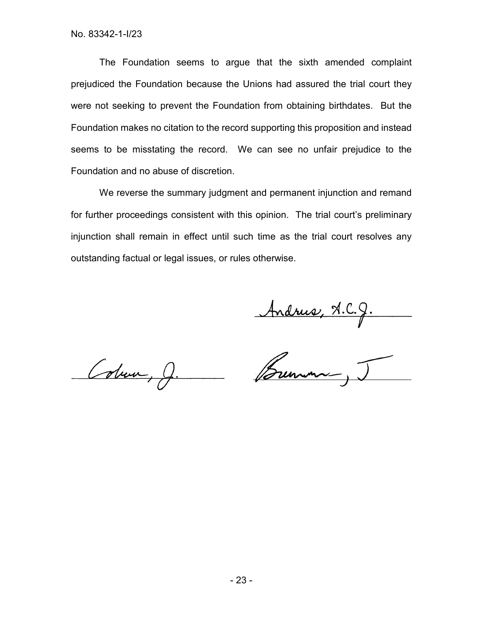The Foundation seems to argue that the sixth amended complaint prejudiced the Foundation because the Unions had assured the trial court they were not seeking to prevent the Foundation from obtaining birthdates. But the Foundation makes no citation to the record supporting this proposition and instead seems to be misstating the record. We can see no unfair prejudice to the Foundation and no abuse of discretion.

We reverse the summary judgment and permanent injunction and remand for further proceedings consistent with this opinion. The trial court's preliminary injunction shall remain in effect until such time as the trial court resolves any outstanding factual or legal issues, or rules otherwise.

Andrus, A.C.J.

Colum, J.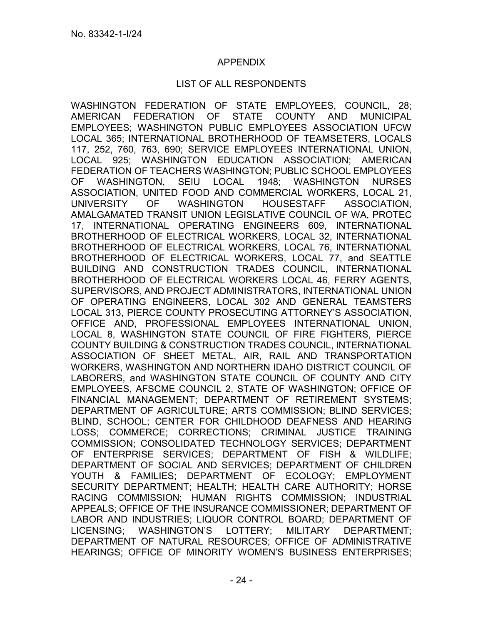### APPENDIX

### LIST OF ALL RESPONDENTS

WASHINGTON FEDERATION OF STATE EMPLOYEES, COUNCIL, 28; AMERICAN FEDERATION OF STATE COUNTY AND MUNICIPAL EMPLOYEES; WASHINGTON PUBLIC EMPLOYEES ASSOCIATION UFCW LOCAL 365; INTERNATIONAL BROTHERHOOD OF TEAMSETERS, LOCALS 117, 252, 760, 763, 690; SERVICE EMPLOYEES INTERNATIONAL UNION, LOCAL 925; WASHINGTON EDUCATION ASSOCIATION; AMERICAN FEDERATION OF TEACHERS WASHINGTON; PUBLIC SCHOOL EMPLOYEES OF WASHINGTON, SEIU LOCAL 1948; WASHINGTON NURSES ASSOCIATION, UNITED FOOD AND COMMERCIAL WORKERS, LOCAL 21, UNIVERSITY OF WASHINGTON HOUSESTAFF ASSOCIATION, AMALGAMATED TRANSIT UNION LEGISLATIVE COUNCIL OF WA, PROTEC 17, INTERNATIONAL OPERATING ENGINEERS 609, INTERNATIONAL BROTHERHOOD OF ELECTRICAL WORKERS, LOCAL 32, INTERNATIONAL BROTHERHOOD OF ELECTRICAL WORKERS, LOCAL 76, INTERNATIONAL BROTHERHOOD OF ELECTRICAL WORKERS, LOCAL 77, and SEATTLE BUILDING AND CONSTRUCTION TRADES COUNCIL, INTERNATIONAL BROTHERHOOD OF ELECTRICAL WORKERS LOCAL 46, FERRY AGENTS, SUPERVISORS, AND PROJECT ADMINISTRATORS, INTERNATIONAL UNION OF OPERATING ENGINEERS, LOCAL 302 AND GENERAL TEAMSTERS LOCAL 313, PIERCE COUNTY PROSECUTING ATTORNEY'S ASSOCIATION, OFFICE AND, PROFESSIONAL EMPLOYEES INTERNATIONAL UNION, LOCAL 8, WASHINGTON STATE COUNCIL OF FIRE FIGHTERS, PIERCE COUNTY BUILDING & CONSTRUCTION TRADES COUNCIL, INTERNATIONAL ASSOCIATION OF SHEET METAL, AIR, RAIL AND TRANSPORTATION WORKERS, WASHINGTON AND NORTHERN IDAHO DISTRICT COUNCIL OF LABORERS, and WASHINGTON STATE COUNCIL OF COUNTY AND CITY EMPLOYEES, AFSCME COUNCIL 2, STATE OF WASHINGTON; OFFICE OF FINANCIAL MANAGEMENT; DEPARTMENT OF RETIREMENT SYSTEMS; DEPARTMENT OF AGRICULTURE; ARTS COMMISSION; BLIND SERVICES; BLIND, SCHOOL; CENTER FOR CHILDHOOD DEAFNESS AND HEARING LOSS; COMMERCE; CORRECTIONS; CRIMINAL JUSTICE TRAINING COMMISSION; CONSOLIDATED TECHNOLOGY SERVICES; DEPARTMENT OF ENTERPRISE SERVICES; DEPARTMENT OF FISH & WILDLIFE; DEPARTMENT OF SOCIAL AND SERVICES; DEPARTMENT OF CHILDREN YOUTH & FAMILIES; DEPARTMENT OF ECOLOGY; EMPLOYMENT SECURITY DEPARTMENT; HEALTH; HEALTH CARE AUTHORITY; HORSE RACING COMMISSION; HUMAN RIGHTS COMMISSION; INDUSTRIAL APPEALS; OFFICE OF THE INSURANCE COMMISSIONER; DEPARTMENT OF LABOR AND INDUSTRIES; LIQUOR CONTROL BOARD; DEPARTMENT OF LICENSING; WASHINGTON'S LOTTERY; MILITARY DEPARTMENT; DEPARTMENT OF NATURAL RESOURCES; OFFICE OF ADMINISTRATIVE HEARINGS; OFFICE OF MINORITY WOMEN'S BUSINESS ENTERPRISES;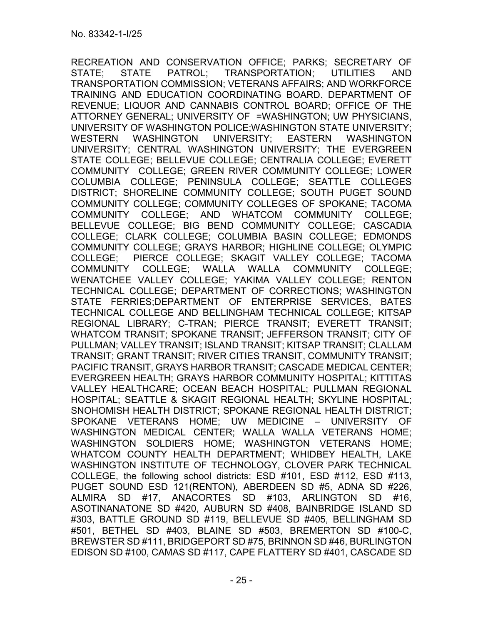RECREATION AND CONSERVATION OFFICE; PARKS; SECRETARY OF STATE; STATE PATROL; TRANSPORTATION; UTILITIES AND TRANSPORTATION COMMISSION; VETERANS AFFAIRS; AND WORKFORCE TRAINING AND EDUCATION COORDINATING BOARD. DEPARTMENT OF REVENUE; LIQUOR AND CANNABIS CONTROL BOARD; OFFICE OF THE ATTORNEY GENERAL; UNIVERSITY OF =WASHINGTON; UW PHYSICIANS, UNIVERSITY OF WASHINGTON POLICE;WASHINGTON STATE UNIVERSITY; WESTERN WASHINGTON UNIVERSITY; EASTERN WASHINGTON UNIVERSITY; CENTRAL WASHINGTON UNIVERSITY; THE EVERGREEN STATE COLLEGE; BELLEVUE COLLEGE; CENTRALIA COLLEGE; EVERETT COMMUNITY COLLEGE; GREEN RIVER COMMUNITY COLLEGE; LOWER COLUMBIA COLLEGE; PENINSULA COLLEGE; SEATTLE COLLEGES DISTRICT; SHORELINE COMMUNITY COLLEGE; SOUTH PUGET SOUND COMMUNITY COLLEGE; COMMUNITY COLLEGES OF SPOKANE; TACOMA COMMUNITY COLLEGE; AND WHATCOM COMMUNITY COLLEGE; BELLEVUE COLLEGE; BIG BEND COMMUNITY COLLEGE; CASCADIA COLLEGE; CLARK COLLEGE; COLUMBIA BASIN COLLEGE; EDMONDS COMMUNITY COLLEGE; GRAYS HARBOR; HIGHLINE COLLEGE; OLYMPIC COLLEGE; PIERCE COLLEGE; SKAGIT VALLEY COLLEGE; TACOMA COMMUNITY COLLEGE; WALLA WALLA COMMUNITY COLLEGE; WENATCHEE VALLEY COLLEGE; YAKIMA VALLEY COLLEGE; RENTON TECHNICAL COLLEGE; DEPARTMENT OF CORRECTIONS; WASHINGTON STATE FERRIES;DEPARTMENT OF ENTERPRISE SERVICES, BATES TECHNICAL COLLEGE AND BELLINGHAM TECHNICAL COLLEGE; KITSAP REGIONAL LIBRARY; C-TRAN; PIERCE TRANSIT; EVERETT TRANSIT; WHATCOM TRANSIT; SPOKANE TRANSIT; JEFFERSON TRANSIT; CITY OF PULLMAN; VALLEY TRANSIT; ISLAND TRANSIT; KITSAP TRANSIT; CLALLAM TRANSIT; GRANT TRANSIT; RIVER CITIES TRANSIT, COMMUNITY TRANSIT; PACIFIC TRANSIT, GRAYS HARBOR TRANSIT; CASCADE MEDICAL CENTER; EVERGREEN HEALTH; GRAYS HARBOR COMMUNITY HOSPITAL; KITTITAS VALLEY HEALTHCARE; OCEAN BEACH HOSPITAL; PULLMAN REGIONAL HOSPITAL; SEATTLE & SKAGIT REGIONAL HEALTH; SKYLINE HOSPITAL; SNOHOMISH HEALTH DISTRICT; SPOKANE REGIONAL HEALTH DISTRICT; SPOKANE VETERANS HOME; UW MEDICINE – UNIVERSITY OF WASHINGTON MEDICAL CENTER; WALLA WALLA VETERANS HOME; WASHINGTON SOLDIERS HOME; WASHINGTON VETERANS HOME; WHATCOM COUNTY HEALTH DEPARTMENT; WHIDBEY HEALTH, LAKE WASHINGTON INSTITUTE OF TECHNOLOGY, CLOVER PARK TECHNICAL COLLEGE, the following school districts: ESD #101, ESD #112, ESD #113, PUGET SOUND ESD 121(RENTON), ABERDEEN SD #5, ADNA SD #226, ALMIRA SD #17, ANACORTES SD #103, ARLINGTON SD #16, ASOTINANATONE SD #420, AUBURN SD #408, BAINBRIDGE ISLAND SD #303, BATTLE GROUND SD #119, BELLEVUE SD #405, BELLINGHAM SD #501, BETHEL SD #403, BLAINE SD #503, BREMERTON SD #100-C, BREWSTER SD #111, BRIDGEPORT SD #75, BRINNON SD #46, BURLINGTON EDISON SD #100, CAMAS SD #117, CAPE FLATTERY SD #401, CASCADE SD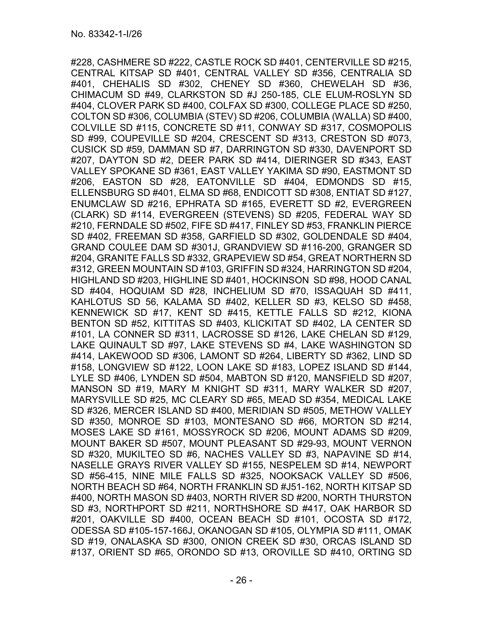#228, CASHMERE SD #222, CASTLE ROCK SD #401, CENTERVILLE SD #215, CENTRAL KITSAP SD #401, CENTRAL VALLEY SD #356, CENTRALIA SD #401, CHEHALIS SD #302, CHENEY SD #360, CHEWELAH SD #36, CHIMACUM SD #49, CLARKSTON SD #J 250-185, CLE ELUM-ROSLYN SD #404, CLOVER PARK SD #400, COLFAX SD #300, COLLEGE PLACE SD #250, COLTON SD #306, COLUMBIA (STEV) SD #206, COLUMBIA (WALLA) SD #400, COLVILLE SD #115, CONCRETE SD #11, CONWAY SD #317, COSMOPOLIS SD #99, COUPEVILLE SD #204, CRESCENT SD #313, CRESTON SD #073, CUSICK SD #59, DAMMAN SD #7, DARRINGTON SD #330, DAVENPORT SD #207, DAYTON SD #2, DEER PARK SD #414, DIERINGER SD #343, EAST VALLEY SPOKANE SD #361, EAST VALLEY YAKIMA SD #90, EASTMONT SD #206, EASTON SD #28, EATONVILLE SD #404, EDMONDS SD #15, ELLENSBURG SD #401, ELMA SD #68, ENDICOTT SD #308, ENTIAT SD #127, ENUMCLAW SD #216, EPHRATA SD #165, EVERETT SD #2, EVERGREEN (CLARK) SD #114, EVERGREEN (STEVENS) SD #205, FEDERAL WAY SD #210, FERNDALE SD #502, FIFE SD #417, FINLEY SD #53, FRANKLIN PIERCE SD #402, FREEMAN SD #358, GARFIELD SD #302, GOLDENDALE SD #404, GRAND COULEE DAM SD #301J, GRANDVIEW SD #116-200, GRANGER SD #204, GRANITE FALLS SD #332, GRAPEVIEW SD #54, GREAT NORTHERN SD #312, GREEN MOUNTAIN SD #103, GRIFFIN SD #324, HARRINGTON SD #204, HIGHLAND SD #203, HIGHLINE SD #401, HOCKINSON SD #98, HOOD CANAL SD #404, HOQUIAM SD #28, INCHELIUM SD #70, ISSAQUAH SD #411, KAHLOTUS SD 56, KALAMA SD #402, KELLER SD #3, KELSO SD #458, KENNEWICK SD #17, KENT SD #415, KETTLE FALLS SD #212, KIONA BENTON SD #52, KITTITAS SD #403, KLICKITAT SD #402, LA CENTER SD #101, LA CONNER SD #311, LACROSSE SD #126, LAKE CHELAN SD #129, LAKE QUINAULT SD #97, LAKE STEVENS SD #4, LAKE WASHINGTON SD #414, LAKEWOOD SD #306, LAMONT SD #264, LIBERTY SD #362, LIND SD #158, LONGVIEW SD #122, LOON LAKE SD #183, LOPEZ ISLAND SD #144, LYLE SD #406, LYNDEN SD #504, MABTON SD #120, MANSFIELD SD #207, MANSON SD #19, MARY M KNIGHT SD #311, MARY WALKER SD #207, MARYSVILLE SD #25, MC CLEARY SD #65, MEAD SD #354, MEDICAL LAKE SD #326, MERCER ISLAND SD #400, MERIDIAN SD #505, METHOW VALLEY SD #350, MONROE SD #103, MONTESANO SD #66, MORTON SD #214, MOSES LAKE SD #161, MOSSYROCK SD #206, MOUNT ADAMS SD #209, MOUNT BAKER SD #507, MOUNT PLEASANT SD #29-93, MOUNT VERNON SD #320, MUKILTEO SD #6, NACHES VALLEY SD #3, NAPAVINE SD #14, NASELLE GRAYS RIVER VALLEY SD #155, NESPELEM SD #14, NEWPORT SD #56-415, NINE MILE FALLS SD #325, NOOKSACK VALLEY SD #506, NORTH BEACH SD #64, NORTH FRANKLIN SD #J51-162, NORTH KITSAP SD #400, NORTH MASON SD #403, NORTH RIVER SD #200, NORTH THURSTON SD #3, NORTHPORT SD #211, NORTHSHORE SD #417, OAK HARBOR SD #201, OAKVILLE SD #400, OCEAN BEACH SD #101, OCOSTA SD #172, ODESSA SD #105-157-166J, OKANOGAN SD #105, OLYMPIA SD #111, OMAK SD #19, ONALASKA SD #300, ONION CREEK SD #30, ORCAS ISLAND SD #137, ORIENT SD #65, ORONDO SD #13, OROVILLE SD #410, ORTING SD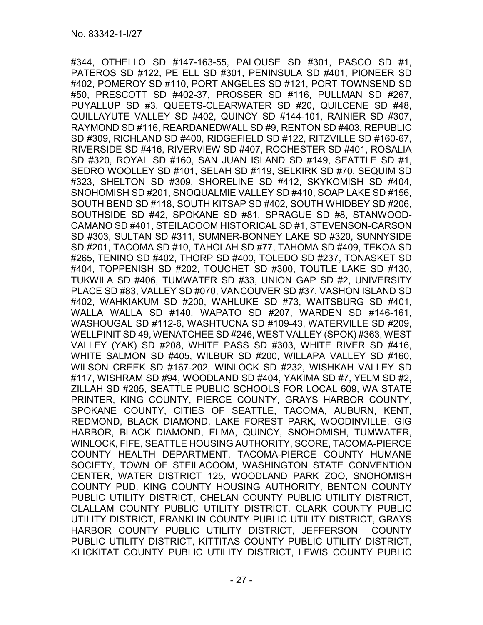#344, OTHELLO SD #147-163-55, PALOUSE SD #301, PASCO SD #1, PATEROS SD #122, PE ELL SD #301, PENINSULA SD #401, PIONEER SD #402, POMEROY SD #110, PORT ANGELES SD #121, PORT TOWNSEND SD #50, PRESCOTT SD #402-37, PROSSER SD #116, PULLMAN SD #267, PUYALLUP SD #3, QUEETS-CLEARWATER SD #20, QUILCENE SD #48, QUILLAYUTE VALLEY SD #402, QUINCY SD #144-101, RAINIER SD #307, RAYMOND SD #116, REARDANEDWALL SD #9, RENTON SD #403, REPUBLIC SD #309, RICHLAND SD #400, RIDGEFIELD SD #122, RITZVILLE SD #160-67, RIVERSIDE SD #416, RIVERVIEW SD #407, ROCHESTER SD #401, ROSALIA SD #320, ROYAL SD #160, SAN JUAN ISLAND SD #149, SEATTLE SD #1, SEDRO WOOLLEY SD #101, SELAH SD #119, SELKIRK SD #70, SEQUIM SD #323, SHELTON SD #309, SHORELINE SD #412, SKYKOMISH SD #404, SNOHOMISH SD #201, SNOQUALMIE VALLEY SD #410, SOAP LAKE SD #156, SOUTH BEND SD #118, SOUTH KITSAP SD #402, SOUTH WHIDBEY SD #206, SOUTHSIDE SD #42, SPOKANE SD #81, SPRAGUE SD #8, STANWOOD-CAMANO SD #401, STEILACOOM HISTORICAL SD #1, STEVENSON-CARSON SD #303, SULTAN SD #311, SUMNER-BONNEY LAKE SD #320, SUNNYSIDE SD #201, TACOMA SD #10, TAHOLAH SD #77, TAHOMA SD #409, TEKOA SD #265, TENINO SD #402, THORP SD #400, TOLEDO SD #237, TONASKET SD #404, TOPPENISH SD #202, TOUCHET SD #300, TOUTLE LAKE SD #130, TUKWILA SD #406, TUMWATER SD #33, UNION GAP SD #2, UNIVERSITY PLACE SD #83, VALLEY SD #070, VANCOUVER SD #37, VASHON ISLAND SD #402, WAHKIAKUM SD #200, WAHLUKE SD #73, WAITSBURG SD #401, WALLA WALLA SD #140, WAPATO SD #207, WARDEN SD #146-161, WASHOUGAL SD #112-6, WASHTUCNA SD #109-43, WATERVILLE SD #209, WELLPINIT SD 49, WENATCHEE SD #246, WEST VALLEY (SPOK) #363, WEST VALLEY (YAK) SD #208, WHITE PASS SD #303, WHITE RIVER SD #416, WHITE SALMON SD #405, WILBUR SD #200, WILLAPA VALLEY SD #160, WILSON CREEK SD #167-202, WINLOCK SD #232, WISHKAH VALLEY SD #117, WISHRAM SD #94, WOODLAND SD #404, YAKIMA SD #7, YELM SD #2, ZILLAH SD #205, SEATTLE PUBLIC SCHOOLS FOR LOCAL 609, WA STATE PRINTER, KING COUNTY, PIERCE COUNTY, GRAYS HARBOR COUNTY, SPOKANE COUNTY, CITIES OF SEATTLE, TACOMA, AUBURN, KENT, REDMOND, BLACK DIAMOND, LAKE FOREST PARK, WOODINVILLE, GIG HARBOR, BLACK DIAMOND, ELMA, QUINCY, SNOHOMISH, TUMWATER, WINLOCK, FIFE, SEATTLE HOUSING AUTHORITY, SCORE, TACOMA-PIERCE COUNTY HEALTH DEPARTMENT, TACOMA-PIERCE COUNTY HUMANE SOCIETY, TOWN OF STEILACOOM, WASHINGTON STATE CONVENTION CENTER, WATER DISTRICT 125, WOODLAND PARK ZOO, SNOHOMISH COUNTY PUD, KING COUNTY HOUSING AUTHORITY, BENTON COUNTY PUBLIC UTILITY DISTRICT, CHELAN COUNTY PUBLIC UTILITY DISTRICT, CLALLAM COUNTY PUBLIC UTILITY DISTRICT, CLARK COUNTY PUBLIC UTILITY DISTRICT, FRANKLIN COUNTY PUBLIC UTILITY DISTRICT, GRAYS HARBOR COUNTY PUBLIC UTILITY DISTRICT, JEFFERSON COUNTY PUBLIC UTILITY DISTRICT, KITTITAS COUNTY PUBLIC UTILITY DISTRICT, KLICKITAT COUNTY PUBLIC UTILITY DISTRICT, LEWIS COUNTY PUBLIC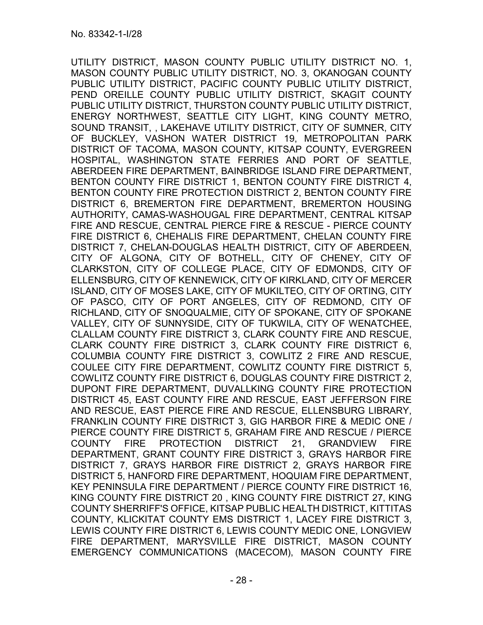UTILITY DISTRICT, MASON COUNTY PUBLIC UTILITY DISTRICT NO. 1, MASON COUNTY PUBLIC UTILITY DISTRICT, NO. 3, OKANOGAN COUNTY PUBLIC UTILITY DISTRICT, PACIFIC COUNTY PUBLIC UTILITY DISTRICT, PEND OREILLE COUNTY PUBLIC UTILITY DISTRICT, SKAGIT COUNTY PUBLIC UTILITY DISTRICT, THURSTON COUNTY PUBLIC UTILITY DISTRICT, ENERGY NORTHWEST, SEATTLE CITY LIGHT, KING COUNTY METRO, SOUND TRANSIT, , LAKEHAVE UTILITY DISTRICT, CITY OF SUMNER, CITY OF BUCKLEY, VASHON WATER DISTRICT 19, METROPOLITAN PARK DISTRICT OF TACOMA, MASON COUNTY, KITSAP COUNTY, EVERGREEN HOSPITAL, WASHINGTON STATE FERRIES AND PORT OF SEATTLE, ABERDEEN FIRE DEPARTMENT, BAINBRIDGE ISLAND FIRE DEPARTMENT, BENTON COUNTY FIRE DISTRICT 1, BENTON COUNTY FIRE DISTRICT 4, BENTON COUNTY FIRE PROTECTION DISTRICT 2, BENTON COUNTY FIRE DISTRICT 6, BREMERTON FIRE DEPARTMENT, BREMERTON HOUSING AUTHORITY, CAMAS-WASHOUGAL FIRE DEPARTMENT, CENTRAL KITSAP FIRE AND RESCUE, CENTRAL PIERCE FIRE & RESCUE - PIERCE COUNTY FIRE DISTRICT 6, CHEHALIS FIRE DEPARTMENT, CHELAN COUNTY FIRE DISTRICT 7, CHELAN-DOUGLAS HEALTH DISTRICT, CITY OF ABERDEEN, CITY OF ALGONA, CITY OF BOTHELL, CITY OF CHENEY, CITY OF CLARKSTON, CITY OF COLLEGE PLACE, CITY OF EDMONDS, CITY OF ELLENSBURG, CITY OF KENNEWICK, CITY OF KIRKLAND, CITY OF MERCER ISLAND, CITY OF MOSES LAKE, CITY OF MUKILTEO, CITY OF ORTING, CITY OF PASCO, CITY OF PORT ANGELES, CITY OF REDMOND, CITY OF RICHLAND, CITY OF SNOQUALMIE, CITY OF SPOKANE, CITY OF SPOKANE VALLEY, CITY OF SUNNYSIDE, CITY OF TUKWILA, CITY OF WENATCHEE, CLALLAM COUNTY FIRE DISTRICT 3, CLARK COUNTY FIRE AND RESCUE, CLARK COUNTY FIRE DISTRICT 3, CLARK COUNTY FIRE DISTRICT 6, COLUMBIA COUNTY FIRE DISTRICT 3, COWLITZ 2 FIRE AND RESCUE, COULEE CITY FIRE DEPARTMENT, COWLITZ COUNTY FIRE DISTRICT 5, COWLITZ COUNTY FIRE DISTRICT 6, DOUGLAS COUNTY FIRE DISTRICT 2, DUPONT FIRE DEPARTMENT, DUVALLKING COUNTY FIRE PROTECTION DISTRICT 45, EAST COUNTY FIRE AND RESCUE, EAST JEFFERSON FIRE AND RESCUE, EAST PIERCE FIRE AND RESCUE, ELLENSBURG LIBRARY, FRANKLIN COUNTY FIRE DISTRICT 3, GIG HARBOR FIRE & MEDIC ONE / PIERCE COUNTY FIRE DISTRICT 5, GRAHAM FIRE AND RESCUE / PIERCE COUNTY FIRE PROTECTION DISTRICT 21, GRANDVIEW FIRE DEPARTMENT, GRANT COUNTY FIRE DISTRICT 3, GRAYS HARBOR FIRE DISTRICT 7, GRAYS HARBOR FIRE DISTRICT 2, GRAYS HARBOR FIRE DISTRICT 5, HANFORD FIRE DEPARTMENT, HOQUIAM FIRE DEPARTMENT, KEY PENINSULA FIRE DEPARTMENT / PIERCE COUNTY FIRE DISTRICT 16, KING COUNTY FIRE DISTRICT 20 , KING COUNTY FIRE DISTRICT 27, KING COUNTY SHERRIFF'S OFFICE, KITSAP PUBLIC HEALTH DISTRICT, KITTITAS COUNTY, KLICKITAT COUNTY EMS DISTRICT 1, LACEY FIRE DISTRICT 3, LEWIS COUNTY FIRE DISTRICT 6, LEWIS COUNTY MEDIC ONE, LONGVIEW FIRE DEPARTMENT, MARYSVILLE FIRE DISTRICT, MASON COUNTY EMERGENCY COMMUNICATIONS (MACECOM), MASON COUNTY FIRE